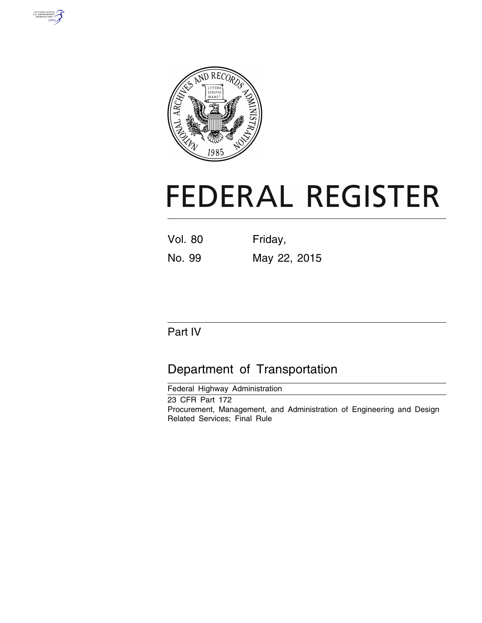



# **FEDERAL REGISTER**

Vol. 80 Friday, No. 99 May 22, 2015

# Part IV

# Department of Transportation

Federal Highway Administration

23 CFR Part 172 Procurement, Management, and Administration of Engineering and Design Related Services; Final Rule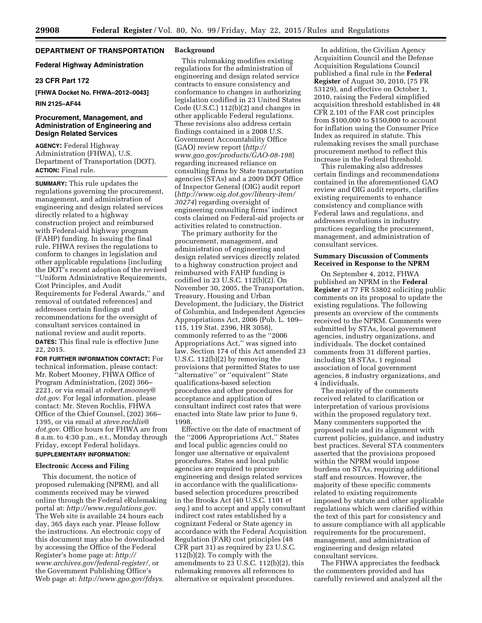# **DEPARTMENT OF TRANSPORTATION**

# **Federal Highway Administration**

# **23 CFR Part 172**

**[FHWA Docket No. FHWA–2012–0043]** 

# **RIN 2125–AF44**

# **Procurement, Management, and Administration of Engineering and Design Related Services**

**AGENCY:** Federal Highway Administration (FHWA), U.S. Department of Transportation (DOT). **ACTION:** Final rule.

**SUMMARY:** This rule updates the regulations governing the procurement, management, and administration of engineering and design related services directly related to a highway construction project and reimbursed with Federal-aid highway program (FAHP) funding. In issuing the final rule, FHWA revises the regulations to conform to changes in legislation and other applicable regulations [including the DOT's recent adoption of the revised ''Uniform Administrative Requirements, Cost Principles, and Audit Requirements for Federal Awards,'' and removal of outdated references] and addresses certain findings and recommendations for the oversight of consultant services contained in national review and audit reports.

**DATES:** This final rule is effective June 22, 2015.

**FOR FURTHER INFORMATION CONTACT:** For technical information, please contact: Mr. Robert Mooney, FHWA Office of Program Administration, (202) 366– 2221, or via email at *[robert.mooney@](mailto:robert.mooney@dot.gov) [dot.gov](mailto:robert.mooney@dot.gov)*. For legal information, please contact: Mr. Steven Rochlis, FHWA Office of the Chief Counsel, (202) 366– 1395, or via email at *[steve.rochlis@](mailto:steve.rochlis@dot.gov) [dot.gov](mailto:steve.rochlis@dot.gov)*. Office hours for FHWA are from 8 a.m. to 4:30 p.m., e.t., Monday through Friday, except Federal holidays. **SUPPLEMENTARY INFORMATION:** 

# **Electronic Access and Filing**

This document, the notice of proposed rulemaking (NPRM), and all comments received may be viewed online through the Federal eRulemaking portal at: *<http://www.regulations.gov>*. The Web site is available 24 hours each day, 365 days each year. Please follow the instructions. An electronic copy of this document may also be downloaded by accessing the Office of the Federal Register's home page at: *[http://](http://www.archives.gov/federal-register/) [www.archives.gov/federal-register/,](http://www.archives.gov/federal-register/)* or the Government Publishing Office's Web page at: *<http://www.gpo.gov/fdsys>*.

# **Background**

This rulemaking modifies existing regulations for the administration of engineering and design related service contracts to ensure consistency and conformance to changes in authorizing legislation codified in 23 United States Code (U.S.C.) 112(b)(2) and changes in other applicable Federal regulations. These revisions also address certain findings contained in a 2008 U.S. Government Accountability Office (GAO) review report (*[http://](http://www.gao.gov/products/GAO-08-198) [www.gao.gov/products/GAO-08-198](http://www.gao.gov/products/GAO-08-198)*) regarding increased reliance on consulting firms by State transportation agencies (STAs) and a 2009 DOT Office of Inspector General (OIG) audit report (*[http://www.oig.dot.gov/library-item/](http://www.oig.dot.gov/library-item/30274) [30274](http://www.oig.dot.gov/library-item/30274)*) regarding oversight of engineering consulting firms' indirect costs claimed on Federal-aid projects or activities related to construction.

The primary authority for the procurement, management, and administration of engineering and design related services directly related to a highway construction project and reimbursed with FAHP funding is codified in 23 U.S.C. 112(b)(2). On November 30, 2005, the Transportation, Treasury, Housing and Urban Development, the Judiciary, the District of Columbia, and Independent Agencies Appropriations Act, 2006 (Pub. L. 109– 115, 119 Stat. 2396, HR 3058), commonly referred to as the ''2006 Appropriations Act,'' was signed into law. Section 174 of this Act amended 23 U.S.C. 112(b)(2) by removing the provisions that permitted States to use 'alternative" or "equivalent" State qualifications-based selection procedures and other procedures for acceptance and application of consultant indirect cost rates that were enacted into State law prior to June 9, 1998.

Effective on the date of enactment of the ''2006 Appropriations Act,'' States and local public agencies could no longer use alternative or equivalent procedures. States and local public agencies are required to procure engineering and design related services in accordance with the qualificationsbased selection procedures prescribed in the Brooks Act (40 U.S.C. 1101 *et seq.*) and to accept and apply consultant indirect cost rates established by a cognizant Federal or State agency in accordance with the Federal Acquisition Regulation (FAR) cost principles (48 CFR part 31) as required by 23 U.S.C. 112(b)(2). To comply with the amendments to 23 U.S.C. 112(b)(2), this rulemaking removes all references to alternative or equivalent procedures.

In addition, the Civilian Agency Acquisition Council and the Defense Acquisition Regulations Council published a final rule in the **Federal Register** of August 30, 2010, (75 FR 53129), and effective on October 1, 2010, raising the Federal simplified acquisition threshold established in 48 CFR 2.101 of the FAR cost principles from \$100,000 to \$150,000 to account for inflation using the Consumer Price Index as required in statute. This rulemaking revises the small purchase procurement method to reflect this increase in the Federal threshold.

This rulemaking also addresses certain findings and recommendations contained in the aforementioned GAO review and OIG audit reports, clarifies existing requirements to enhance consistency and compliance with Federal laws and regulations, and addresses evolutions in industry practices regarding the procurement, management, and administration of consultant services.

# **Summary Discussion of Comments Received in Response to the NPRM**

On September 4, 2012, FHWA published an NPRM in the **Federal Register** at 77 FR 53802 soliciting public comments on its proposal to update the existing regulations. The following presents an overview of the comments received to the NPRM. Comments were submitted by STAs, local government agencies, industry organizations, and individuals. The docket contained comments from 31 different parties, including 18 STAs, 1 regional association of local government agencies, 8 industry organizations, and 4 individuals.

The majority of the comments received related to clarification or interpretation of various provisions within the proposed regulatory text. Many commenters supported the proposed rule and its alignment with current policies, guidance, and industry best practices. Several STA commenters asserted that the provisions proposed within the NPRM would impose burdens on STAs, requiring additional staff and resources. However, the majority of these specific comments related to existing requirements imposed by statute and other applicable regulations which were clarified within the text of this part for consistency and to assure compliance with all applicable requirements for the procurement, management, and administration of engineering and design related consultant services.

The FHWA appreciates the feedback the commenters provided and has carefully reviewed and analyzed all the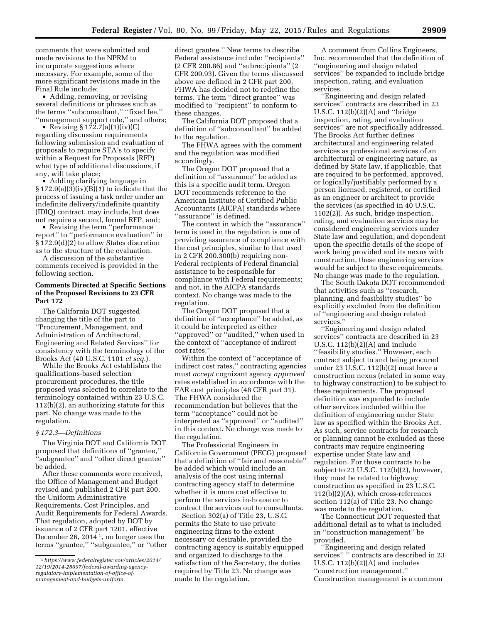comments that were submitted and made revisions to the NPRM to incorporate suggestions where necessary. For example, some of the more significant revisions made in the Final Rule include:

• Adding, removing, or revising several definitions or phrases such as the terms ''subconsultant,'' ''fixed fee,'' ''management support role,'' and others;

• Revising  $$172.7(a)(1)(iv)(C)$ regarding discussion requirements following submission and evaluation of proposals to require STA's to specify within a Request for Proposals (RFP) what type of additional discussions, if any, will take place;

• Adding clarifying language in § 172.9(a)(3)(iv)(B)(*1*) to indicate that the process of issuing a task order under an indefinite delivery/indefinite quantity (IDIQ) contract, may include, but does not require a second, formal RFP, and;

• Revising the term ''performance report'' to ''performance evaluation'' in § 172.9(d)(2) to allow States discretion as to the structure of the evaluation.

A discussion of the substantive comments received is provided in the following section.

# **Comments Directed at Specific Sections of the Proposed Revisions to 23 CFR Part 172**

The California DOT suggested changing the title of the part to ''Procurement, Management, and Administration of Architectural, Engineering and Related Services'' for consistency with the terminology of the Brooks Act (40 U.S.C. 1101 *et seq.*).

While the Brooks Act establishes the qualifications-based selection procurement procedures, the title proposed was selected to correlate to the terminology contained within 23 U.S.C. 112(b)(2), an authorizing statute for this part. No change was made to the regulation.

# *§ 172.3—Definitions*

The Virginia DOT and California DOT proposed that definitions of ''grantee,'' ''subgrantee'' and ''other direct grantee'' be added.

After these comments were received, the Office of Management and Budget revised and published 2 CFR part 200, the Uniform Administrative Requirements, Cost Principles, and Audit Requirements for Federal Awards. That regulation, adopted by DOT by issuance of 2 CFR part 1201, effective December 26, 2014 1, no longer uses the terms ''grantee,'' ''subgrantee,'' or ''other direct grantee.'' New terms to describe Federal assistance include: ''recipients'' (2 CFR 200.86) and ''subrecipients'' (2 CFR 200.93). Given the terms discussed above are defined in 2 CFR part 200, FHWA has decided not to redefine the terms. The term ''direct grantee'' was modified to ''recipient'' to conform to these changes.

The California DOT proposed that a definition of ''subconsultant'' be added to the regulation.

The FHWA agrees with the comment and the regulation was modified accordingly.

The Oregon DOT proposed that a definition of ''assurance'' be added as this is a specific audit term. Oregon DOT recommends reference to the American Institute of Certified Public Accountants (AICPA) standards where ''assurance'' is defined.

The context in which the ''assurance'' term is used in the regulation is one of providing assurance of compliance with the cost principles, similar to that used in 2 CFR 200.300(b) requiring non-Federal recipients of Federal financial assistance to be responsible for compliance with Federal requirements; and not, in the AICPA standards context. No change was made to the regulation.

The Oregon DOT proposed that a definition of ''acceptance'' be added, as it could be interpreted as either ''approved'' or ''audited,'' when used in the context of ''acceptance of indirect cost rates.''

Within the context of ''acceptance of indirect cost rates,'' contracting agencies must *accept* cognizant agency *approved*  rates established in accordance with the FAR cost principles (48 CFR part 31). The FHWA considered the recommendation but believes that the term ''acceptance'' could not be interpreted as ''approved'' or ''audited'' in this context. No change was made to the regulation.

The Professional Engineers in California Government (PECG) proposed that a definition of ''fair and reasonable'' be added which would include an analysis of the cost using internal contracting agency staff to determine whether it is more cost effective to perform the services in-house or to contract the services out to consultants.

Section 302(a) of Title 23, U.S.C. permits the State to use private engineering firms to the extent necessary or desirable, provided the contracting agency is suitably equipped and organized to discharge to the satisfaction of the Secretary, the duties required by Title 23. No change was made to the regulation.

A comment from Collins Engineers, Inc. recommended that the definition of ''engineering and design related services'' be expanded to include bridge inspection, rating, and evaluation services.

''Engineering and design related services'' contracts are described in 23 U.S.C. 112(b)(2)(A) and ''bridge inspection, rating, and evaluation services'' are not specifically addressed. The Brooks Act further defines architectural and engineering related services as professional services of an architectural or engineering nature, as defined by State law, if applicable, that are required to be performed, approved, or logically/justifiably performed by a person licensed, registered, or certified as an engineer or architect to provide the services (as specified in 40 U.S.C. 1102(2)). As such, bridge inspection, rating, and evaluation services may be considered engineering services under State law and regulation, and dependent upon the specific details of the scope of work being provided and its nexus with construction, these engineering services would be subject to these requirements. No change was made to the regulation.

The South Dakota DOT recommended that activities such as ''research, planning, and feasibility studies'' be explicitly excluded from the definition of ''engineering and design related services.''

''Engineering and design related services'' contracts are described in 23 U.S.C. 112(b)(2)(A) and include ''feasibility studies.'' However, each contract subject to and being procured under 23 U.S.C. 112(b)(2) must have a construction nexus (related in some way to highway construction) to be subject to these requirements. The proposed definition was expanded to include other services included within the definition of engineering under State law as specified within the Brooks Act. As such, service contracts for research or planning cannot be excluded as these contracts may require engineering expertise under State law and regulation. For those contracts to be subject to 23 U.S.C. 112(b)(2), however, they must be related to highway construction as specified in 23 U.S.C. 112(b)(2)(A), which cross-references section 112(a) of Title 23. No change was made to the regulation.

The Connecticut DOT requested that additional detail as to what is included in ''construction management'' be provided.

''Engineering and design related services'' " contracts are described in 23 U.S.C. 112(b)(2)(A) and includes ''construction management.'' Construction management is a common

<sup>1</sup>*https://www.federalregister.gov/articles/2014/ 12/19/2014-28697/federal-awarding-agencyregulatory-implementation-of-office-ofmanagement-and-budgets-uniform*.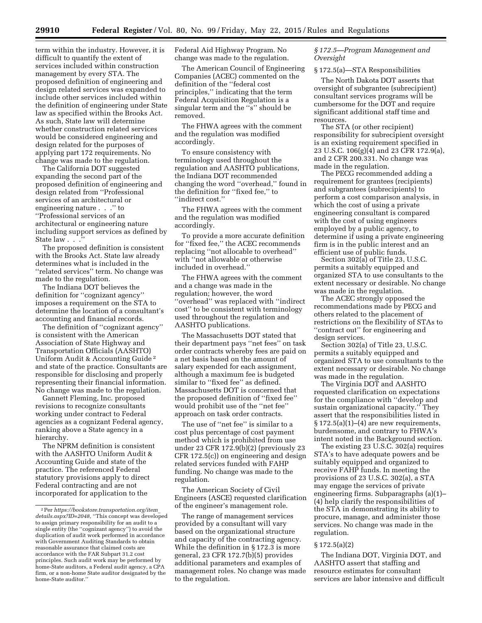term within the industry. However, it is difficult to quantify the extent of services included within construction management by every STA. The proposed definition of engineering and design related services was expanded to include other services included within the definition of engineering under State law as specified within the Brooks Act. As such, State law will determine whether construction related services

would be considered engineering and design related for the purposes of applying part 172 requirements. No change was made to the regulation. The California DOT suggested

expanding the second part of the proposed definition of engineering and design related from ''Professional services of an architectural or engineering nature . . .'' to ''Professional services of an architectural or engineering nature including support services as defined by State law . . .

The proposed definition is consistent with the Brooks Act. State law already determines what is included in the ''related services'' term. No change was made to the regulation.

The Indiana DOT believes the definition for ''cognizant agency'' imposes a requirement on the STA to determine the location of a consultant's accounting and financial records.

The definition of ''cognizant agency'' is consistent with the American Association of State Highway and Transportation Officials (AASHTO) Uniform Audit & Accounting Guide 2 and state of the practice. Consultants are responsible for disclosing and properly representing their financial information. No change was made to the regulation.

Gannett Fleming, Inc. proposed revisions to recognize consultants working under contract to Federal agencies as a cognizant Federal agency, ranking above a State agency in a hierarchy.

The NPRM definition is consistent with the AASHTO Uniform Audit & Accounting Guide and state of the practice. The referenced Federal statutory provisions apply to direct Federal contracting and are not incorporated for application to the

Federal Aid Highway Program. No change was made to the regulation.

The American Council of Engineering Companies (ACEC) commented on the definition of the ''federal cost principles,'' indicating that the term Federal Acquisition Regulation is a singular term and the ''s'' should be removed.

The FHWA agrees with the comment and the regulation was modified accordingly.

To ensure consistency with terminology used throughout the regulation and AASHTO publications, the Indiana DOT recommended changing the word ''overhead,'' found in the definition for ''fixed fee,'' to ''indirect cost.''

The FHWA agrees with the comment and the regulation was modified accordingly.

To provide a more accurate definition for ''fixed fee,'' the ACEC recommends replacing ''not allocable to overhead'' with ''not allowable or otherwise included in overhead.''

The FHWA agrees with the comment and a change was made in the regulation; however, the word ''overhead'' was replaced with ''indirect cost'' to be consistent with terminology used throughout the regulation and AASHTO publications.

The Massachusetts DOT stated that their department pays ''net fees'' on task order contracts whereby fees are paid on a net basis based on the amount of salary expended for each assignment, although a maximum fee is budgeted similar to "fixed fee" as defined. Massachusetts DOT is concerned that the proposed definition of ''fixed fee'' would prohibit use of the ''net fee'' approach on task order contracts.

The use of ''net fee'' is similar to a cost plus percentage of cost payment method which is prohibited from use under 23 CFR 172.9(b)(2) (previously 23 CFR 172.5(c)) on engineering and design related services funded with FAHP funding. No change was made to the regulation.

The American Society of Civil Engineers (ASCE) requested clarification of the engineer's management role.

The range of management services provided by a consultant will vary based on the organizational structure and capacity of the contracting agency. While the definition in § 172.3 is more general, 23 CFR 172.7(b)(5) provides additional parameters and examples of management roles. No change was made to the regulation.

# *§ 172.5—Program Management and Oversight*

# § 172.5(a)—STA Responsibilities

The North Dakota DOT asserts that oversight of subgrantee (subrecipient) consultant services programs will be cumbersome for the DOT and require significant additional staff time and resources.

The STA (or other recipient) responsibility for subrecipient oversight is an existing requirement specified in 23 U.S.C. 106(g)(4) and 23 CFR 172.9(a), and 2 CFR 200.331. No change was made in the regulation.

The PECG recommended adding a requirement for grantees (recipients) and subgrantees (subrecipients) to perform a cost comparison analysis, in which the cost of using a private engineering consultant is compared with the cost of using engineers employed by a public agency, to determine if using a private engineering firm is in the public interest and an efficient use of public funds.

Section 302(a) of Title 23, U.S.C. permits a suitably equipped and organized STA to use consultants to the extent necessary or desirable. No change was made in the regulation.

The ACEC strongly opposed the recommendations made by PECG and others related to the placement of restrictions on the flexibility of STAs to ''contract out'' for engineering and design services.

Section 302(a) of Title 23, U.S.C. permits a suitably equipped and organized STA to use consultants to the extent necessary or desirable. No change was made in the regulation.

The Virginia DOT and AASHTO requested clarification on expectations for the compliance with ''develop and sustain organizational capacity.'' They assert that the responsibilities listed in  $§ 172.5(a)(1)–(4)$  are new requirements, burdensome, and contrary to FHWA's intent noted in the Background section.

The existing 23 U.S.C. 302(a) requires STA's to have adequate powers and be suitably equipped and organized to receive FAHP funds. In meeting the provisions of 23 U.S.C. 302(a), a STA may engage the services of private engineering firms. Subparagraphs (a)(1)– (4) help clarify the responsibilities of the STA in demonstrating its ability to procure, manage, and administer those services. No change was made in the regulation.

#### § 172.5(a)(2)

The Indiana DOT, Virginia DOT, and AASHTO assert that staffing and resource estimates for consultant services are labor intensive and difficult

<sup>2</sup>Per *[https://bookstore.transportation.org/item](https://bookstore.transportation.org/item_details.aspx?ID=2048)*\_ *[details.aspx?ID=2048,](https://bookstore.transportation.org/item_details.aspx?ID=2048)* ''This concept was developed to assign primary responsibility for an audit to a single entity (the ''cognizant agency'') to avoid the duplication of audit work performed in accordance with Government Auditing Standards to obtain reasonable assurance that claimed costs are accordance with the FAR Subpart 31.2 cost principles. Such audit work may be performed by home-State auditors, a Federal audit agency, a CPA firm, or a non-home State auditor designated by the home-State auditor.''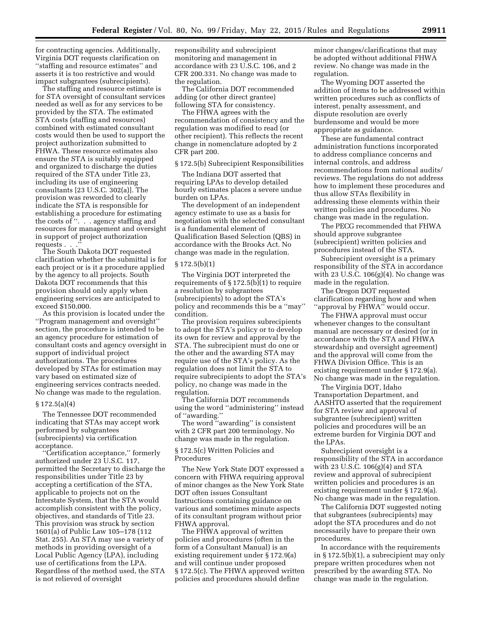for contracting agencies. Additionally, Virginia DOT requests clarification on ''staffing and resource estimates'' and asserts it is too restrictive and would impact subgrantees (subrecipients).

The staffing and resource estimate is for STA oversight of consultant services needed as well as for any services to be provided by the STA. The estimated STA costs (staffing and resources) combined with estimated consultant costs would then be used to support the project authorization submitted to FHWA. These resource estimates also ensure the STA is suitably equipped and organized to discharge the duties required of the STA under Title 23, including its use of engineering consultants [23 U.S.C. 302(a)]. The provision was reworded to clearly indicate the STA is responsible for establishing a procedure for estimating the costs of ''. . . agency staffing and resources for management and oversight in support of project authorization requests . . .

The South Dakota DOT requested clarification whether the submittal is for each project or is it a procedure applied by the agency to all projects. South Dakota DOT recommends that this provision should only apply when engineering services are anticipated to exceed \$150,000.

As this provision is located under the ''Program management and oversight'' section, the procedure is intended to be an agency procedure for estimation of consultant costs and agency oversight in support of individual project authorizations. The procedures developed by STAs for estimation may vary based on estimated size of engineering services contracts needed. No change was made to the regulation.

#### $§ 172.5(a)(4)$

The Tennessee DOT recommended indicating that STAs may accept work performed by subgrantees (subrecipients) via certification acceptance.

''Certification acceptance,'' formerly authorized under 23 U.S.C. 117, permitted the Secretary to discharge the responsibilities under Title 23 by accepting a certification of the STA, applicable to projects not on the Interstate System, that the STA would accomplish consistent with the policy, objectives, and standards of Title 23. This provision was struck by section 1601(a) of Public Law 105–178 (112 Stat. 255). An STA may use a variety of methods in providing oversight of a Local Public Agency (LPA), including use of certifications from the LPA. Regardless of the method used, the STA is not relieved of oversight

responsibility and subrecipient monitoring and management in accordance with 23 U.S.C. 106, and 2 CFR 200.331. No change was made to the regulation.

The California DOT recommended adding (or other direct grantee) following STA for consistency.

The FHWA agrees with the recommendation of consistency and the regulation was modified to read (or other recipient). This reflects the recent change in nomenclature adopted by 2 CFR part 200.

#### § 172.5(b) Subrecipient Responsibilities

The Indiana DOT asserted that requiring LPAs to develop detailed hourly estimates places a severe undue burden on LPAs.

The development of an independent agency estimate to use as a basis for negotiation with the selected consultant is a fundamental element of Qualification Based Selection (QBS) in accordance with the Brooks Act. No change was made in the regulation.

#### $§ 172.5(b)(1)$

The Virginia DOT interpreted the requirements of  $\S 172.5(b)(1)$  to require a resolution by subgrantees (subrecipients) to adopt the STA's policy and recommends this be a ''may'' condition.

The provision requires subrecipients to adopt the STA's policy or to develop its own for review and approval by the STA. The subrecipient must do one or the other and the awarding STA may require use of the STA's policy. As the regulation does not limit the STA to require subrecipients to adopt the STA's policy, no change was made in the regulation.

The California DOT recommends using the word ''administering'' instead of ''awarding.''

The word ''awarding'' is consistent with 2 CFR part 200 terminology. No change was made in the regulation.

# § 172.5(c) Written Policies and Procedures

The New York State DOT expressed a concern with FHWA requiring approval of minor changes as the New York State DOT often issues Consultant Instructions containing guidance on various and sometimes minute aspects of its consultant program without prior FHWA approval.

The FHWA approval of written policies and procedures (often in the form of a Consultant Manual) is an existing requirement under § 172.9(a) and will continue under proposed § 172.5(c). The FHWA approved written policies and procedures should define

minor changes/clarifications that may be adopted without additional FHWA review. No change was made in the regulation.

The Wyoming DOT asserted the addition of items to be addressed within written procedures such as conflicts of interest, penalty assessment, and dispute resolution are overly burdensome and would be more appropriate as guidance.

These are fundamental contract administration functions incorporated to address compliance concerns and internal controls, and address recommendations from national audits/ reviews. The regulations do not address how to implement these procedures and thus allow STAs flexibility in addressing these elements within their written policies and procedures. No change was made in the regulation.

The PECG recommended that FHWA should approve subgrantee (subrecipient) written policies and procedures instead of the STA.

Subrecipient oversight is a primary responsibility of the STA in accordance with 23 U.S.C. 106(g)(4). No change was made in the regulation.

The Oregon DOT requested clarification regarding how and when ''approval by FHWA'' would occur.

The FHWA approval must occur whenever changes to the consultant manual are necessary or desired (or in accordance with the STA and FHWA stewardship and oversight agreement) and the approval will come from the FHWA Division Office. This is an existing requirement under § 172.9(a). No change was made in the regulation.

The Virginia DOT, Idaho Transportation Department, and AASHTO asserted that the requirement for STA review and approval of subgrantee (subrecipient) written policies and procedures will be an extreme burden for Virginia DOT and the LPAs.

Subrecipient oversight is a responsibility of the STA in accordance with 23 U.S.C. 106(g)(4) and STA review and approval of subrecipient written policies and procedures is an existing requirement under § 172.9(a). No change was made in the regulation.

The California DOT suggested noting that subgrantees (subrecipients) may adopt the STA procedures and do not necessarily have to prepare their own procedures.

In accordance with the requirements in § 172.5(b)(1), a subrecipient may only prepare written procedures when not prescribed by the awarding STA. No change was made in the regulation.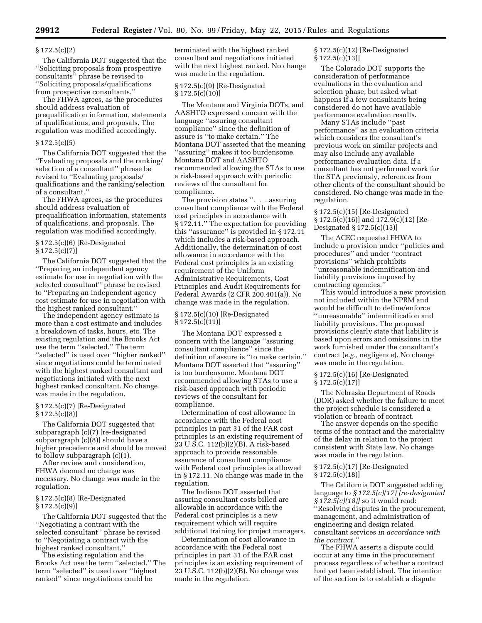### § 172.5(c)(2)

The California DOT suggested that the ''Soliciting proposals from prospective consultants'' phrase be revised to ''Soliciting proposals/qualifications from prospective consultants.''

The FHWA agrees, as the procedures should address evaluation of prequalification information, statements of qualifications, and proposals. The regulation was modified accordingly.

# $§ 172.5(c)(5)$

The California DOT suggested that the ''Evaluating proposals and the ranking/ selection of a consultant'' phrase be revised to ''Evaluating proposals/ qualifications and the ranking/selection of a consultant.''

The FHWA agrees, as the procedures should address evaluation of prequalification information, statements of qualifications, and proposals. The regulation was modified accordingly.

# § 172.5(c)(6) [Re-Designated  $§ 172.5(c)(7)]$

The California DOT suggested that the ''Preparing an independent agency estimate for use in negotiation with the selected consultant'' phrase be revised to ''Preparing an independent agency cost estimate for use in negotiation with the highest ranked consultant.''

The independent agency estimate is more than a cost estimate and includes a breakdown of tasks, hours, etc. The existing regulation and the Brooks Act use the term ''selected.'' The term ''selected'' is used over ''higher ranked'' since negotiations could be terminated with the highest ranked consultant and negotiations initiated with the next highest ranked consultant. No change was made in the regulation.

# § 172.5(c)(7) [Re-Designated  $§ 172.5(c)(8)]$

The California DOT suggested that subparagraph (c)(7) [re-designated subparagraph (c)(8)] should have a higher precedence and should be moved to follow subparagraph (c)(1).

After review and consideration, FHWA deemed no change was necessary. No change was made in the regulation.

# § 172.5(c)(8) [Re-Designated  $§ 172.5(c)(9)]$

The California DOT suggested that the ''Negotiating a contract with the selected consultant'' phrase be revised to ''Negotiating a contract with the highest ranked consultant.''

The existing regulation and the Brooks Act use the term ''selected.'' The term ''selected'' is used over ''highest ranked'' since negotiations could be

terminated with the highest ranked consultant and negotiations initiated with the next highest ranked. No change was made in the regulation.

# § 172.5(c)(9) [Re-Designated § 172.5(c)(10)]

The Montana and Virginia DOTs, and AASHTO expressed concern with the language ''assuring consultant compliance'' since the definition of assure is ''to make certain.'' The Montana DOT asserted that the meaning ''assuring'' makes it too burdensome. Montana DOT and AASHTO recommended allowing the STAs to use a risk-based approach with periodic reviews of the consultant for compliance.

The provision states ". . . assuring consultant compliance with the Federal cost principles in accordance with § 172.11.'' The expectation for providing this ''assurance'' is provided in § 172.11 which includes a risk-based approach. Additionally, the determination of cost allowance in accordance with the Federal cost principles is an existing requirement of the Uniform Administrative Requirements, Cost Principles and Audit Requirements for Federal Awards (2 CFR 200.401(a)). No change was made in the regulation.

# § 172.5(c)(10) [Re-Designated  $§ 172.5(c)(11)]$

The Montana DOT expressed a concern with the language ''assuring consultant compliance'' since the definition of assure is ''to make certain.'' Montana DOT asserted that ''assuring'' is too burdensome. Montana DOT recommended allowing STAs to use a risk-based approach with periodic reviews of the consultant for compliance.

Determination of cost allowance in accordance with the Federal cost principles in part 31 of the FAR cost principles is an existing requirement of 23 U.S.C. 112(b)(2)(B). A risk-based approach to provide reasonable assurance of consultant compliance with Federal cost principles is allowed in § 172.11. No change was made in the regulation.

The Indiana DOT asserted that assuring consultant costs billed are allowable in accordance with the Federal cost principles is a new requirement which will require additional training for project managers.

Determination of cost allowance in accordance with the Federal cost principles in part 31 of the FAR cost principles is an existing requirement of 23 U.S.C. 112(b)(2)(B). No change was made in the regulation.

# § 172.5(c)(12) [Re-Designated  $§ 172.5(c)(13)]$

The Colorado DOT supports the consideration of performance evaluations in the evaluation and selection phase, but asked what happens if a few consultants being considered do not have available performance evaluation results.

Many STAs include ''past performance'' as an evaluation criteria which considers the consultant's previous work on similar projects and may also include any available performance evaluation data. If a consultant has not performed work for the STA previously, references from other clients of the consultant should be considered. No change was made in the regulation.

§ 172.5(c)(15) [Re-Designated § 172.5(c)(16)] and 172.9(c)(12) [Re-Designated § 172.5(c)(13)]

The ACEC requested FHWA to include a provision under ''policies and procedures'' and under ''contract provisions'' which prohibits ''unreasonable indemnification and liability provisions imposed by contracting agencies.''

This would introduce a new provision not included within the NPRM and would be difficult to define/enforce ''unreasonable'' indemnification and liability provisions. The proposed provisions clearly state that liability is based upon errors and omissions in the work furnished under the consultant's contract (*e.g.,* negligence). No change was made in the regulation.

# § 172.5(c)(16) [Re-Designated § 172.5(c)(17)]

The Nebraska Department of Roads (DOR) asked whether the failure to meet the project schedule is considered a violation or breach of contract.

The answer depends on the specific terms of the contract and the materiality of the delay in relation to the project consistent with State law. No change was made in the regulation.

# § 172.5(c)(17) [Re-Designated  $§ 172.5(c)(18)]$

The California DOT suggested adding language to *§ 172.5(c)(17) [re-designated § 172.5(c)(18)]* so it would read: ''Resolving disputes in the procurement, management, and administration of engineering and design related consultant services *in accordance with the contract.''* 

The FHWA asserts a dispute could occur at any time in the procurement process regardless of whether a contract had yet been established. The intention of the section is to establish a dispute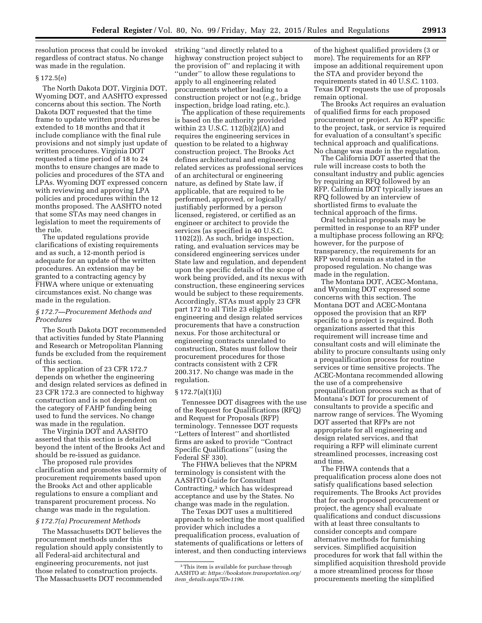resolution process that could be invoked regardless of contract status. No change was made in the regulation.

# § 172.5(e)

The North Dakota DOT, Virginia DOT, Wyoming DOT, and AASHTO expressed concerns about this section. The North Dakota DOT requested that the time frame to update written procedures be extended to 18 months and that it include compliance with the final rule provisions and not simply just update of written procedures. Virginia DOT requested a time period of 18 to 24 months to ensure changes are made to policies and procedures of the STA and LPAs. Wyoming DOT expressed concern with reviewing and approving LPA policies and procedures within the 12 months proposed. The AASHTO noted that some STAs may need changes in legislation to meet the requirements of the rule.

The updated regulations provide clarifications of existing requirements and as such, a 12-month period is adequate for an update of the written procedures. An extension may be granted to a contracting agency by FHWA where unique or extenuating circumstances exist. No change was made in the regulation.

# *§ 172.7—Procurement Methods and Procedures*

The South Dakota DOT recommended that activities funded by State Planning and Research or Metropolitan Planning funds be excluded from the requirement of this section.

The application of 23 CFR 172.7 depends on whether the engineering and design related services as defined in 23 CFR 172.3 are connected to highway construction and is not dependent on the category of FAHP funding being used to fund the services. No change was made in the regulation.

The Virginia DOT and AASHTO asserted that this section is detailed beyond the intent of the Brooks Act and should be re-issued as guidance.

The proposed rule provides clarification and promotes uniformity of procurement requirements based upon the Brooks Act and other applicable regulations to ensure a compliant and transparent procurement process. No change was made in the regulation.

# *§ 172.7(a) Procurement Methods*

The Massachusetts DOT believes the procurement methods under this regulation should apply consistently to all Federal-aid architectural and engineering procurements, not just those related to construction projects. The Massachusetts DOT recommended

striking ''and directly related to a highway construction project subject to the provision of'' and replacing it with ''under'' to allow these regulations to apply to all engineering related procurements whether leading to a construction project or not (*e.g.,* bridge inspection, bridge load rating, etc.).

The application of these requirements is based on the authority provided within 23 U.S.C. 112(b)(2)(A) and requires the engineering services in question to be related to a highway construction project. The Brooks Act defines architectural and engineering related services as professional services of an architectural or engineering nature, as defined by State law, if applicable, that are required to be performed, approved, or logically/ justifiably performed by a person licensed, registered, or certified as an engineer or architect to provide the services (as specified in 40 U.S.C. 1102(2)). As such, bridge inspection, rating, and evaluation services may be considered engineering services under State law and regulation, and dependent upon the specific details of the scope of work being provided, and its nexus with construction, these engineering services would be subject to these requirements. Accordingly, STAs must apply 23 CFR part 172 to all Title 23 eligible engineering and design related services procurements that have a construction nexus. For those architectural or engineering contracts unrelated to construction, States must follow their procurement procedures for those contracts consistent with 2 CFR 200.317. No change was made in the regulation.

# § 172.7(a)(1)(i)

Tennessee DOT disagrees with the use of the Request for Qualifications (RFQ) and Request for Proposals (RFP) terminology. Tennessee DOT requests ''Letters of Interest'' and shortlisted firms are asked to provide ''Contract Specific Qualifications'' (using the Federal SF 330).

The FHWA believes that the NPRM terminology is consistent with the AASHTO Guide for Consultant Contracting,3 which has widespread acceptance and use by the States. No change was made in the regulation.

The Texas DOT uses a multitiered approach to selecting the most qualified provider which includes a prequalification process, evaluation of statements of qualifications or letters of interest, and then conducting interviews

of the highest qualified providers (3 or more). The requirements for an RFP impose an additional requirement upon the STA and provider beyond the requirements stated in 40 U.S.C. 1103. Texas DOT requests the use of proposals remain optional.

The Brooks Act requires an evaluation of qualified firms for each proposed procurement or project. An RFP specific to the project, task, or service is required for evaluation of a consultant's specific technical approach and qualifications. No change was made in the regulation.

The California DOT asserted that the rule will increase costs to both the consultant industry and public agencies by requiring an RFQ followed by an RFP. California DOT typically issues an RFQ followed by an interview of shortlisted firms to evaluate the technical approach of the firms.

Oral technical proposals may be permitted in response to an RFP under a multiphase process following an RFQ; however, for the purpose of transparency, the requirements for an RFP would remain as stated in the proposed regulation. No change was made in the regulation.

The Montana DOT, ACEC-Montana, and Wyoming DOT expressed some concerns with this section. The Montana DOT and ACEC-Montana opposed the provision that an RFP specific to a project is required. Both organizations asserted that this requirement will increase time and consultant costs and will eliminate the ability to procure consultants using only a prequalification process for routine services or time sensitive projects. The ACEC-Montana recommended allowing the use of a comprehensive prequalification process such as that of Montana's DOT for procurement of consultants to provide a specific and narrow range of services. The Wyoming DOT asserted that RFPs are not appropriate for all engineering and design related services, and that requiring a RFP will eliminate current streamlined processes, increasing cost and time.

The FHWA contends that a prequalification process alone does not satisfy qualifications based selection requirements. The Brooks Act provides that for each proposed procurement or project, the agency shall evaluate qualifications and conduct discussions with at least three consultants to consider concepts and compare alternative methods for furnishing services. Simplified acquisition procedures for work that fall within the simplified acquisition threshold provide a more streamlined process for those procurements meeting the simplified

<sup>&</sup>lt;sup>3</sup>This item is available for purchase through AASHTO at: *[https://bookstore.transportation.org/](https://bookstore.transportation.org/item_details.aspx?ID=1196) item*\_*[details.aspx?ID=1196](https://bookstore.transportation.org/item_details.aspx?ID=1196)*.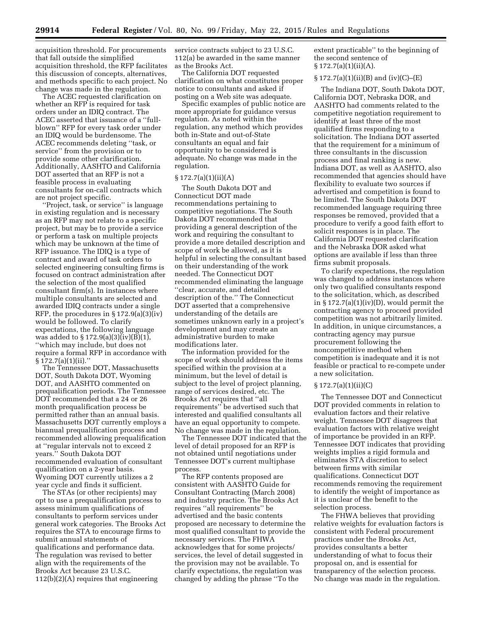acquisition threshold. For procurements that fall outside the simplified acquisition threshold, the RFP facilitates this discussion of concepts, alternatives, and methods specific to each project. No change was made in the regulation.

The ACEC requested clarification on whether an RFP is required for task orders under an IDIQ contract. The ACEC asserted that issuance of a ''fullblown'' RFP for every task order under an IDIQ would be burdensome. The ACEC recommends deleting ''task, or service'' from the provision or to provide some other clarification. Additionally, AASHTO and California DOT asserted that an RFP is not a feasible process in evaluating consultants for on-call contracts which are not project specific.

''Project, task, or service'' is language in existing regulation and is necessary as an RFP may not relate to a specific project, but may be to provide a service or perform a task on multiple projects which may be unknown at the time of RFP issuance. The IDIQ is a type of contract and award of task orders to selected engineering consulting firms is focused on contract administration after the selection of the most qualified consultant firm(s). In instances where multiple consultants are selected and awarded IDIQ contracts under a single RFP, the procedures in  $\S 172.9(a)(3)(iv)$ would be followed. To clarify expectations, the following language was added to § 172.9(a)(3)(iv)(B)(1), ''which may include, but does not require a formal RFP in accordance with  $§ 172.7(a)(1)(ii)$ .

The Tennessee DOT, Massachusetts DOT, South Dakota DOT, Wyoming DOT, and AASHTO commented on prequalification periods. The Tennessee DOT recommended that a 24 or 26 month prequalification process be permitted rather than an annual basis. Massachusetts DOT currently employs a biannual prequalification process and recommended allowing prequalification at ''regular intervals not to exceed 2 years.'' South Dakota DOT recommended evaluation of consultant qualification on a 2-year basis. Wyoming DOT currently utilizes a 2 year cycle and finds it sufficient.

The STAs (or other recipients) may opt to use a prequalification process to assess minimum qualifications of consultants to perform services under general work categories. The Brooks Act requires the STA to encourage firms to submit annual statements of qualifications and performance data. The regulation was revised to better align with the requirements of the Brooks Act because 23 U.S.C. 112(b)(2)(A) requires that engineering

service contracts subject to 23 U.S.C. 112(a) be awarded in the same manner as the Brooks Act.

The California DOT requested clarification on what constitutes proper notice to consultants and asked if posting on a Web site was adequate.

Specific examples of public notice are more appropriate for guidance versus regulation. As noted within the regulation, any method which provides both in-State and out-of-State consultants an equal and fair opportunity to be considered is adequate. No change was made in the regulation.

#### $§ 172.7(a)(1)(ii)(A)$

The South Dakota DOT and Connecticut DOT made recommendations pertaining to competitive negotiations. The South Dakota DOT recommended that providing a general description of the work and requiring the consultant to provide a more detailed description and scope of work be allowed, as it is helpful in selecting the consultant based on their understanding of the work needed. The Connecticut DOT recommended eliminating the language ''clear, accurate, and detailed description of the.'' The Connecticut DOT asserted that a comprehensive understanding of the details are sometimes unknown early in a project's development and may create an administrative burden to make modifications later.

The information provided for the scope of work should address the items specified within the provision at a minimum, but the level of detail is subject to the level of project planning, range of services desired, etc. The Brooks Act requires that ''all requirements'' be advertised such that interested and qualified consultants all have an equal opportunity to compete. No change was made in the regulation.

The Tennessee DOT indicated that the level of detail proposed for an RFP is not obtained until negotiations under Tennessee DOT's current multiphase process.

The RFP contents proposed are consistent with AASHTO Guide for Consultant Contracting (March 2008) and industry practice. The Brooks Act requires ''all requirements'' be advertised and the basic contents proposed are necessary to determine the most qualified consultant to provide the necessary services. The FHWA acknowledges that for some projects/ services, the level of detail suggested in the provision may not be available. To clarify expectations, the regulation was changed by adding the phrase ''To the

extent practicable'' to the beginning of the second sentence of  $§ 172.7(a)(1)(ii)(A).$ 

# $\S 172.7(a)(1)(ii)(B)$  and  $(iv)(C)$ – $(E)$

The Indiana DOT, South Dakota DOT, California DOT, Nebraska DOR, and AASHTO had comments related to the competitive negotiation requirement to identify at least three of the most qualified firms responding to a solicitation. The Indiana DOT asserted that the requirement for a minimum of three consultants in the discussion process and final ranking is new. Indiana DOT, as well as AASHTO, also recommended that agencies should have flexibility to evaluate two sources if advertised and competition is found to be limited. The South Dakota DOT recommended language requiring three responses be removed, provided that a procedure to verify a good faith effort to solicit responses is in place. The California DOT requested clarification and the Nebraska DOR asked what options are available if less than three firms submit proposals.

To clarify expectations, the regulation was changed to address instances where only two qualified consultants respond to the solicitation, which, as described in  $\S 172.7(a)(1)(iv)(D)$ , would permit the contracting agency to proceed provided competition was not arbitrarily limited. In addition, in unique circumstances, a contracting agency may pursue procurement following the noncompetitive method when competition is inadequate and it is not feasible or practical to re-compete under a new solicitation.

#### $\S 172.7(a)(1)(ii)(C)$

The Tennessee DOT and Connecticut DOT provided comments in relation to evaluation factors and their relative weight. Tennessee DOT disagrees that evaluation factors with relative weight of importance be provided in an RFP. Tennessee DOT indicates that providing weights implies a rigid formula and eliminates STA discretion to select between firms with similar qualifications. Connecticut DOT recommends removing the requirement to identify the weight of importance as it is unclear of the benefit to the selection process.

The FHWA believes that providing relative weights for evaluation factors is consistent with Federal procurement practices under the Brooks Act, provides consultants a better understanding of what to focus their proposal on, and is essential for transparency of the selection process. No change was made in the regulation.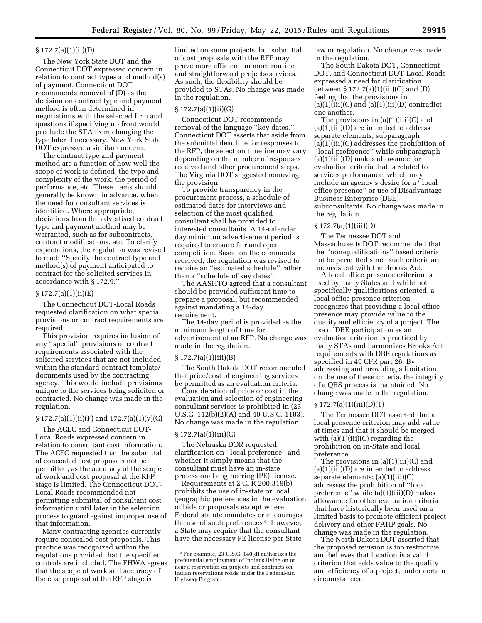#### § 172.7(a)(1)(ii)(D)

The New York State DOT and the Connecticut DOT expressed concern in relation to contract types and method(s) of payment. Connecticut DOT recommends removal of (D) as the decision on contract type and payment method is often determined in negotiations with the selected firm and questions if specifying up front would preclude the STA from changing the type later if necessary. New York State DOT expressed a similar concern.

The contract type and payment method are a function of how well the scope of work is defined, the type and complexity of the work, the period of performance, etc. These items should generally be known in advance, when the need for consultant services is identified. Where appropriate, deviations from the advertised contract type and payment method may be warranted, such as for subcontracts, contract modifications, etc. To clarify expectations, the regulation was revised to read: ''Specify the contract type and method(s) of payment anticipated to contract for the solicited services in accordance with § 172.9.''

# § 172.7(a)(1)(ii)(E)

The Connecticut DOT-Local Roads requested clarification on what special provisions or contract requirements are required.

This provision requires inclusion of any ''special'' provisions or contract requirements associated with the solicited services that are not included within the standard contract template/ documents used by the contracting agency. This would include provisions unique to the services being solicited or contracted. No change was made in the regulation.

# $\S 172.7(a)(1)(ii)(F)$  and  $172.7(a)(1)(v)(C)$

The ACEC and Connecticut DOT-Local Roads expressed concern in relation to consultant cost information. The ACEC requested that the submittal of concealed cost proposals not be permitted, as the accuracy of the scope of work and cost proposal at the RFP stage is limited. The Connecticut DOT-Local Roads recommended not permitting submittal of consultant cost information until later in the selection process to guard against improper use of that information.

Many contracting agencies currently require concealed cost proposals. This practice was recognized within the regulations provided that the specified controls are included. The FHWA agrees that the scope of work and accuracy of the cost proposal at the RFP stage is

limited on some projects, but submittal of cost proposals with the RFP may prove more efficient on more routine and straightforward projects/services. As such, the flexibility should be provided to STAs. No change was made in the regulation.

# $§ 172.7(a)(1)(ii)(G)$

Connecticut DOT recommends removal of the language ''key dates.'' Connecticut DOT asserts that aside from the submittal deadline for responses to the RFP, the selection timeline may vary depending on the number of responses received and other procurement steps. The Virginia DOT suggested removing the provision.

To provide transparency in the procurement process, a schedule of estimated dates for interviews and selection of the most qualified consultant shall be provided to interested consultants. A 14-calendar day minimum advertisement period is required to ensure fair and open competition. Based on the comments received, the regulation was revised to require an ''estimated schedule'' rather than a ''schedule of key dates''.

The AASHTO agreed that a consultant should be provided sufficient time to prepare a proposal, but recommended against mandating a 14-day requirement.

The 14-day period is provided as the minimum length of time for advertisement of an RFP. No change was made in the regulation.

#### § 172.7(a)(1)(iii)(B)

The South Dakota DOT recommended that price/cost of engineering services be permitted as an evaluation criteria.

Consideration of price or cost in the evaluation and selection of engineering consultant services is prohibited in (23 U.S.C. 112(b)(2)(A) and 40 U.S.C. 1103). No change was made in the regulation.

# § 172.7(a)(1)(iii)(C)

The Nebraska DOR requested clarification on ''local preference'' and whether it simply means that the consultant must have an in-state professional engineering (PE) license.

Requirements at 2 CFR 200.319(b) prohibits the use of in-state or local geographic preferences in the evaluation of bids or proposals except where Federal statute mandates or encourages the use of such preferences 4. However, a State may require that the consultant have the necessary PE license per State

law or regulation. No change was made in the regulation.

The South Dakota DOT, Connecticut DOT, and Connecticut DOT-Local Roads expressed a need for clarification between  $\S 172.7(a)(1)(iii)(C)$  and  $(D)$ feeling that the provisions in (a)(1)(iii)(C) and (a)(1)(iii)(D) contradict one another.

The provisions in (a)(1)(iii)(C) and (a)(1)(iii)(D) are intended to address separate elements; subparagraph (a)(1)(iii)(C) addresses the prohibition of ''local preference'' while subparagraph (a)(1)(iii)(D) makes allowance for evaluation criteria that is related to services performance, which may include an agency's desire for a ''local office presence'' or use of Disadvantage Business Enterprise (DBE) subconsultants. No change was made in the regulation.

#### $§ 172.7(a)(1)(iii)(D)$

The Tennessee DOT and Massachusetts DOT recommended that the ''non-qualifications'' based criteria not be permitted since such criteria are inconsistent with the Brooks Act.

A local office presence criterion is used by many States and while not specifically qualifications oriented, a local office presence criterion recognizes that providing a local office presence may provide value to the quality and efficiency of a project. The use of DBE participation as an evaluation criterion is practiced by many STAs and harmonizes Brooks Act requirements with DBE regulations as specified in 49 CFR part 26. By addressing and providing a limitation on the use of these criteria, the integrity of a QBS process is maintained. No change was made in the regulation.

#### $\S 172.7(a)(1)(iii)(D)(1)$

The Tennessee DOT asserted that a local presence criterion may add value at times and that it should be merged with  $(a)(1)(iii)(C)$  regarding the prohibition on in-State and local preference.

The provisions in  $(a)(1)(iii)(C)$  and  $(a)(1)(iii)(D)$  are intended to address separate elements; (a)(1)(iii)(C) addresses the prohibition of ''local preference'' while (a)(1)(iii)(D) makes allowance for other evaluation criteria that have historically been used on a limited basis to promote efficient project delivery and other FAHP goals. No change was made in the regulation.

The North Dakota DOT asserted that the proposed revision is too restrictive and believes that location is a valid criterion that adds value to the quality and efficiency of a project, under certain circumstances.

<sup>4</sup>For example, 23 U.S.C. 140(d) authorizes the preferential employment of Indians living on or near a reservation on projects and contracts on Indian reservations roads under the Federal-aid Highway Program.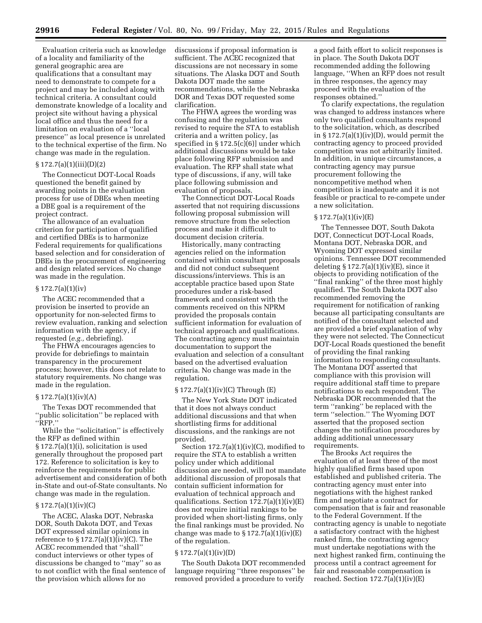Evaluation criteria such as knowledge of a locality and familiarity of the general geographic area are qualifications that a consultant may need to demonstrate to compete for a project and may be included along with technical criteria. A consultant could demonstrate knowledge of a locality and project site without having a physical local office and thus the need for a limitation on evaluation of a ''local presence'' as local presence is unrelated to the technical expertise of the firm. No change was made in the regulation.

### § 172.7(a)(1)(iii)(D)(2)

The Connecticut DOT-Local Roads questioned the benefit gained by awarding points in the evaluation process for use of DBEs when meeting a DBE goal is a requirement of the project contract.

The allowance of an evaluation criterion for participation of qualified and certified DBEs is to harmonize Federal requirements for qualifications based selection and for consideration of DBEs in the procurement of engineering and design related services. No change was made in the regulation.

# $§ 172.7(a)(1)(iv)$

The ACEC recommended that a provision be inserted to provide an opportunity for non-selected firms to review evaluation, ranking and selection information with the agency, if requested (*e.g.,* debriefing).

The FHWA encourages agencies to provide for debriefings to maintain transparency in the procurement process; however, this does not relate to statutory requirements. No change was made in the regulation.

#### $§ 172.7(a)(1)(iv)(A)$

The Texas DOT recommended that ''public solicitation'' be replaced with ''RFP.''

While the ''solicitation'' is effectively the RFP as defined within § 172.7(a)(1)(i), solicitation is used generally throughout the proposed part 172. Reference to solicitation is key to reinforce the requirements for public advertisement and consideration of both in-State and out-of-State consultants. No change was made in the regulation.

# § 172.7(a)(1)(iv)(C)

The ACEC, Alaska DOT, Nebraska DOR, South Dakota DOT, and Texas DOT expressed similar opinions in reference to  $\S 172.7(a)(1)(iv)(C)$ . The ACEC recommended that ''shall'' conduct interviews or other types of discussions be changed to ''may'' so as to not conflict with the final sentence of the provision which allows for no

discussions if proposal information is sufficient. The ACEC recognized that discussions are not necessary in some situations. The Alaska DOT and South Dakota DOT made the same recommendations, while the Nebraska DOR and Texas DOT requested some clarification.

The FHWA agrees the wording was confusing and the regulation was revised to require the STA to establish criteria and a written policy, [as specified in § 172.5(c)(6)] under which additional discussions would be take place following RFP submission and evaluation. The RFP shall state what type of discussions, if any, will take place following submission and evaluation of proposals.

The Connecticut DOT-Local Roads asserted that not requiring discussions following proposal submission will remove structure from the selection process and make it difficult to document decision criteria.

Historically, many contracting agencies relied on the information contained within consultant proposals and did not conduct subsequent discussions/interviews. This is an acceptable practice based upon State procedures under a risk-based framework and consistent with the comments received on this NPRM provided the proposals contain sufficient information for evaluation of technical approach and qualifications. The contracting agency must maintain documentation to support the evaluation and selection of a consultant based on the advertised evaluation criteria. No change was made in the regulation.

#### § 172.7(a)(1)(iv)(C) Through (E)

The New York State DOT indicated that it does not always conduct additional discussions and that when shortlisting firms for additional discussions, and the rankings are not provided.

Section  $172.7(a)(1)(iv)(C)$ , modified to require the STA to establish a written policy under which additional discussion are needed, will not mandate additional discussion of proposals that contain sufficient information for evaluation of technical approach and qualifications. Section 172.7(a)(1)(iv)(E) does not require initial rankings to be provided when short-listing firms, only the final rankings must be provided. No change was made to  $\S 172.7(a)(1)(iv)(E)$ of the regulation.

# § 172.7(a)(1)(iv)(D)

The South Dakota DOT recommended language requiring ''three responses'' be removed provided a procedure to verify

a good faith effort to solicit responses is in place. The South Dakota DOT recommended adding the following language, ''When an RFP does not result in three responses, the agency may proceed with the evaluation of the responses obtained.''

To clarify expectations, the regulation was changed to address instances where only two qualified consultants respond to the solicitation, which, as described in  $\S 172.7(a)(1)(iv)(D)$ , would permit the contracting agency to proceed provided competition was not arbitrarily limited. In addition, in unique circumstances, a contracting agency may pursue procurement following the noncompetitive method when competition is inadequate and it is not feasible or practical to re-compete under a new solicitation.

#### $\S 172.7(a)(1)(iv)(E)$

The Tennessee DOT, South Dakota DOT, Connecticut DOT-Local Roads, Montana DOT, Nebraska DOR, and Wyoming DOT expressed similar opinions. Tennessee DOT recommended deleting  $\S 172.7(a)(1)(iv)(E)$ , since it objects to providing notification of the ''final ranking'' of the three most highly qualified. The South Dakota DOT also recommended removing the requirement for notification of ranking because all participating consultants are notified of the consultant selected and are provided a brief explanation of why they were not selected. The Connecticut DOT-Local Roads questioned the benefit of providing the final ranking information to responding consultants. The Montana DOT asserted that compliance with this provision will require additional staff time to prepare notifications to each respondent. The Nebraska DOR recommended that the term ''ranking'' be replaced with the term ''selection.'' The Wyoming DOT asserted that the proposed section changes the notification procedures by adding additional unnecessary requirements.

The Brooks Act requires the evaluation of at least three of the most highly qualified firms based upon established and published criteria. The contracting agency must enter into negotiations with the highest ranked firm and negotiate a contract for compensation that is fair and reasonable to the Federal Government. If the contracting agency is unable to negotiate a satisfactory contract with the highest ranked firm, the contracting agency must undertake negotiations with the next highest ranked firm, continuing the process until a contract agreement for fair and reasonable compensation is reached. Section  $172.7(a)(1)(iv)(E)$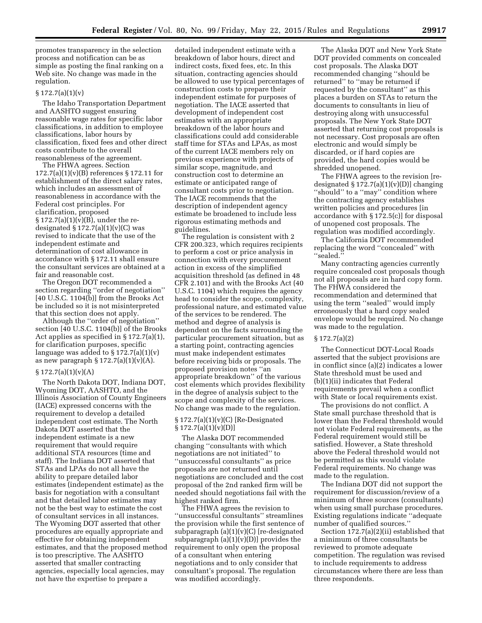promotes transparency in the selection process and notification can be as simple as posting the final ranking on a Web site. No change was made in the regulation.

# $§ 172.7(a)(1)(v)$

The Idaho Transportation Department and AASHTO suggest ensuring reasonable wage rates for specific labor classifications, in addition to employee classifications, labor hours by classification, fixed fees and other direct costs contribute to the overall reasonableness of the agreement.

The FHWA agrees. Section 172.7(a)(1)(v)(B) references § 172.11 for establishment of the direct salary rates, which includes an assessment of reasonableness in accordance with the Federal cost principles. For clarification, proposed  $\S 172.7(a)(1)(v)(B)$ , under the redesignated  $\S 172.7(a)(1)(v)(C)$  was revised to indicate that the use of the independent estimate and determination of cost allowance in accordance with § 172.11 shall ensure the consultant services are obtained at a fair and reasonable cost.

The Oregon DOT recommended a section regarding ''order of negotiation''  $[40$  U.S.C. 1104 $(b)$ ] from the Brooks Act be included so it is not misinterpreted that this section does not apply.

Although the ''order of negotiation'' section [40 U.S.C. 1104(b)] of the Brooks Act applies as specified in § 172.7(a)(1), for clarification purposes, specific language was added to  $\S 172.7(a)(1)(v)$ as new paragraph  $\S 172.7(a)(1)(v)(A)$ .

#### $§ 172.7(a)(1)(v)(A)$

The North Dakota DOT, Indiana DOT, Wyoming DOT, AASHTO, and the Illinois Association of County Engineers (IACE) expressed concerns with the requirement to develop a detailed independent cost estimate. The North Dakota DOT asserted that the independent estimate is a new requirement that would require additional STA resources (time and staff). The Indiana DOT asserted that STAs and LPAs do not all have the ability to prepare detailed labor estimates (independent estimate) as the basis for negotiation with a consultant and that detailed labor estimates may not be the best way to estimate the cost of consultant services in all instances. The Wyoming DOT asserted that other procedures are equally appropriate and effective for obtaining independent estimates, and that the proposed method is too prescriptive. The AASHTO asserted that smaller contracting agencies, especially local agencies, may not have the expertise to prepare a

detailed independent estimate with a breakdown of labor hours, direct and indirect costs, fixed fees, etc. In this situation, contracting agencies should be allowed to use typical percentages of construction costs to prepare their independent estimate for purposes of negotiation. The IACE asserted that development of independent cost estimates with an appropriate breakdown of the labor hours and classifications could add considerable staff time for STAs and LPAs, as most of the current IACE members rely on previous experience with projects of similar scope, magnitude, and construction cost to determine an estimate or anticipated range of consultant costs prior to negotiation. The IACE recommends that the description of independent agency estimate be broadened to include less rigorous estimating methods and guidelines.

The regulation is consistent with 2 CFR 200.323, which requires recipients to perform a cost or price analysis in connection with every procurement action in excess of the simplified acquisition threshold (as defined in 48 CFR 2.101) and with the Brooks Act (40 U.S.C. 1104) which requires the agency head to consider the scope, complexity, professional nature, and estimated value of the services to be rendered. The method and degree of analysis is dependent on the facts surrounding the particular procurement situation, but as a starting point, contracting agencies must make independent estimates before receiving bids or proposals. The proposed provision notes ''an appropriate breakdown'' of the various cost elements which provides flexibility in the degree of analysis subject to the scope and complexity of the services. No change was made to the regulation.

# § 172.7(a)(1)(v)(C) [Re-Designated  $§ 172.7(a)(1)(v)(D)]$

The Alaska DOT recommended changing ''consultants with which negotiations are not initiated'' to ''unsuccessful consultants'' as price proposals are not returned until negotiations are concluded and the cost proposal of the 2nd ranked firm will be needed should negotiations fail with the highest ranked firm.

The FHWA agrees the revision to ''unsuccessful consultants'' streamlines the provision while the first sentence of subparagraph (a)(1)(v)(C) [re-designated subparagraph  $(a)(1)(v)(D)$  provides the requirement to only open the proposal of a consultant when entering negotiations and to only consider that consultant's proposal. The regulation was modified accordingly.

The Alaska DOT and New York State DOT provided comments on concealed cost proposals. The Alaska DOT recommended changing ''should be returned'' to ''may be returned if requested by the consultant'' as this places a burden on STAs to return the documents to consultants in lieu of destroying along with unsuccessful proposals. The New York State DOT asserted that returning cost proposals is not necessary. Cost proposals are often electronic and would simply be discarded, or if hard copies are provided, the hard copies would be shredded unopened.

The FHWA agrees to the revision [redesignated  $\S 172.7(a)(1)(v)(D)$ ] changing ''should'' to a ''may'' condition where the contracting agency establishes written policies and procedures [in accordance with § 172.5(c)] for disposal of unopened cost proposals. The regulation was modified accordingly.

The California DOT recommended replacing the word ''concealed'' with ''sealed.''

Many contracting agencies currently require concealed cost proposals though not all proposals are in hard copy form. The FHWA considered the recommendation and determined that using the term ''sealed'' would imply erroneously that a hard copy sealed envelope would be required. No change was made to the regulation.

# § 172.7(a)(2)

The Connecticut DOT-Local Roads asserted that the subject provisions are in conflict since (a)(2) indicates a lower State threshold must be used and (b)(1)(ii) indicates that Federal requirements prevail when a conflict with State or local requirements exist.

The provisions do not conflict. A State small purchase threshold that is lower than the Federal threshold would not violate Federal requirements, as the Federal requirement would still be satisfied. However, a State threshold above the Federal threshold would not be permitted as this would violate Federal requirements. No change was made to the regulation.

The Indiana DOT did not support the requirement for discussion/review of a minimum of three sources (consultants) when using small purchase procedures. Existing regulations indicate ''adequate number of qualified sources.''

Section 172.7(a)(2)(ii) established that a minimum of three consultants be reviewed to promote adequate competition. The regulation was revised to include requirements to address circumstances where there are less than three respondents.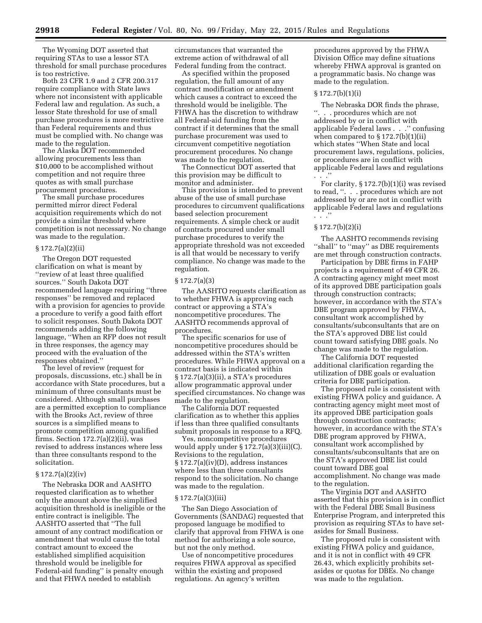The Wyoming DOT asserted that requiring STAs to use a lessor STA threshold for small purchase procedures is too restrictive.

Both 23 CFR 1.9 and 2 CFR 200.317 require compliance with State laws where not inconsistent with applicable Federal law and regulation. As such, a lessor State threshold for use of small purchase procedures is more restrictive than Federal requirements and thus must be complied with. No change was made to the regulation.

The Alaska DOT recommended allowing procurements less than \$10,000 to be accomplished without competition and not require three quotes as with small purchase procurement procedures.

The small purchase procedures permitted mirror direct Federal acquisition requirements which do not provide a similar threshold where competition is not necessary. No change was made to the regulation.

#### § 172.7(a)(2)(ii)

The Oregon DOT requested clarification on what is meant by ''review of at least three qualified sources.'' South Dakota DOT recommended language requiring ''three responses'' be removed and replaced with a provision for agencies to provide a procedure to verify a good faith effort to solicit responses. South Dakota DOT recommends adding the following language, ''When an RFP does not result in three responses, the agency may proceed with the evaluation of the responses obtained.''

The level of review (request for proposals, discussions, etc.) shall be in accordance with State procedures, but a minimum of three consultants must be considered. Although small purchases are a permitted exception to compliance with the Brooks Act, review of three sources is a simplified means to promote competition among qualified firms. Section  $172.7(a)(2)(ii)$ , was revised to address instances where less than three consultants respond to the solicitation.

# § 172.7(a)(2)(iv)

The Nebraska DOR and AASHTO requested clarification as to whether only the amount above the simplified acquisition threshold is ineligible or the entire contract is ineligible. The AASHTO asserted that ''The full amount of any contract modification or amendment that would cause the total contract amount to exceed the established simplified acquisition threshold would be ineligible for Federal-aid funding'' is penalty enough and that FHWA needed to establish

circumstances that warranted the extreme action of withdrawal of all Federal funding from the contract.

As specified within the proposed regulation, the full amount of any contract modification or amendment which causes a contract to exceed the threshold would be ineligible. The FHWA has the discretion to withdraw all Federal-aid funding from the contract if it determines that the small purchase procurement was used to circumvent competitive negotiation procurement procedures. No change was made to the regulation.

The Connecticut DOT asserted that this provision may be difficult to monitor and administer.

This provision is intended to prevent abuse of the use of small purchase procedures to circumvent qualifications based selection procurement requirements. A simple check or audit of contracts procured under small purchase procedures to verify the appropriate threshold was not exceeded is all that would be necessary to verify compliance. No change was made to the regulation.

#### § 172.7(a)(3)

The AASHTO requests clarification as to whether FHWA is approving each contract or approving a STA's noncompetitive procedures. The AASHTO recommends approval of procedures.

The specific scenarios for use of noncompetitive procedures should be addressed within the STA's written procedures. While FHWA approval on a contract basis is indicated within § 172.7(a)(3)(ii), a STA's procedures allow programmatic approval under specified circumstances. No change was made to the regulation.

The California DOT requested clarification as to whether this applies if less than three qualified consultants submit proposals in response to a RFQ.

Yes, noncompetitive procedures would apply under § 172.7(a)(3)(iii)(C). Revisions to the regulation, § 172.7(a)(iv)(D), address instances where less than three consultants respond to the solicitation. No change was made to the regulation.

#### § 172.7(a)(3)(iii)

The San Diego Association of Governments (SANDAG) requested that proposed language be modified to clarify that approval from FHWA is one method for authorizing a sole source, but not the only method.

Use of noncompetitive procedures requires FHWA approval as specified within the existing and proposed regulations. An agency's written

procedures approved by the FHWA Division Office may define situations whereby FHWA approval is granted on a programmatic basis. No change was made to the regulation.

# § 172.7(b)(1)(i)

The Nebraska DOR finds the phrase, ''. . . procedures which are not addressed by or in conflict with applicable Federal laws . . .'' confusing when compared to § 172.7(b)(1)(ii) which states ''When State and local procurement laws, regulations, policies, or procedures are in conflict with applicable Federal laws and regulations . . .''

For clarity,  $\S 172.7(b)(1)(i)$  was revised to read, ''. . . procedures which are not addressed by or are not in conflict with applicable Federal laws and regulations . . .''

# § 172.7(b)(2)(i)

The AASHTO recommends revising ''shall'' to ''may'' as DBE requirements are met through construction contracts.

Participation by DBE firms in FAHP projects is a requirement of 49 CFR 26. A contracting agency might meet most of its approved DBE participation goals through construction contracts; however, in accordance with the STA's DBE program approved by FHWA, consultant work accomplished by consultants/subconsultants that are on the STA's approved DBE list could count toward satisfying DBE goals. No change was made to the regulation.

The California DOT requested additional clarification regarding the utilization of DBE goals or evaluation criteria for DBE participation.

The proposed rule is consistent with existing FHWA policy and guidance. A contracting agency might meet most of its approved DBE participation goals through construction contracts; however, in accordance with the STA's DBE program approved by FHWA, consultant work accomplished by consultants/subconsultants that are on the STA's approved DBE list could count toward DBE goal accomplishment. No change was made to the regulation.

The Virginia DOT and AASHTO asserted that this provision is in conflict with the Federal DBE Small Business Enterprise Program, and interpreted this provision as requiring STAs to have setasides for Small Business.

The proposed rule is consistent with existing FHWA policy and guidance, and it is not in conflict with 49 CFR 26.43, which explicitly prohibits setasides or quotas for DBEs. No change was made to the regulation.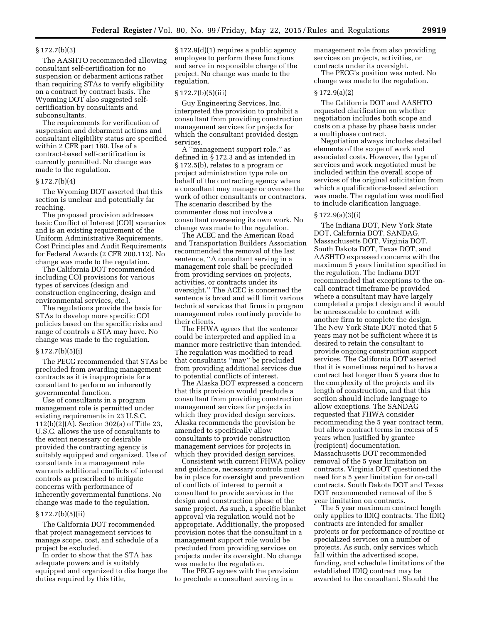# § 172.7(b)(3)

The AASHTO recommended allowing consultant self-certification for no suspension or debarment actions rather than requiring STAs to verify eligibility on a contract by contract basis. The Wyoming DOT also suggested selfcertification by consultants and subconsultants.

The requirements for verification of suspension and debarment actions and consultant eligibility status are specified within 2 CFR part 180. Use of a contract-based self-certification is currently permitted. No change was made to the regulation.

#### $§ 172.7(b)(4)$

The Wyoming DOT asserted that this section is unclear and potentially far reaching.

The proposed provision addresses basic Conflict of Interest (COI) scenarios and is an existing requirement of the Uniform Administrative Requirements, Cost Principles and Audit Requirements for Federal Awards (2 CFR 200.112). No change was made to the regulation.

The California DOT recommended including COI provisions for various types of services (design and construction engineering, design and environmental services, etc.).

The regulations provide the basis for STAs to develop more specific COI policies based on the specific risks and range of controls a STA may have. No change was made to the regulation.

#### § 172.7(b)(5)(i)

The PECG recommended that STAs be precluded from awarding management contracts as it is inappropriate for a consultant to perform an inherently governmental function.

Use of consultants in a program management role is permitted under existing requirements in 23 U.S.C. 112(b)(2)(A). Section 302(a) of Title 23, U.S.C. allows the use of consultants to the extent necessary or desirable provided the contracting agency is suitably equipped and organized. Use of consultants in a management role warrants additional conflicts of interest controls as prescribed to mitigate concerns with performance of inherently governmental functions. No change was made to the regulation.

#### $§ 172.7(b)(5)(ii)$

The California DOT recommended that project management services to manage scope, cost, and schedule of a project be excluded.

In order to show that the STA has adequate powers and is suitably equipped and organized to discharge the duties required by this title,

§ 172.9(d)(1) requires a public agency employee to perform these functions and serve in responsible charge of the project. No change was made to the regulation.

# § 172.7(b)(5)(iii)

Guy Engineering Services, Inc. interpreted the provision to prohibit a consultant from providing construction management services for projects for which the consultant provided design services.

A ''management support role,'' as defined in § 172.3 and as intended in § 172.5(b), relates to a program or project administration type role on behalf of the contracting agency where a consultant may manage or oversee the work of other consultants or contractors. The scenario described by the commenter does not involve a consultant overseeing its own work. No change was made to the regulation.

The ACEC and the American Road and Transportation Builders Association recommended the removal of the last sentence, ''A consultant serving in a management role shall be precluded from providing services on projects, activities, or contracts under its oversight.'' The ACEC is concerned the sentence is broad and will limit various technical services that firms in program management roles routinely provide to their clients.

The FHWA agrees that the sentence could be interpreted and applied in a manner more restrictive than intended. The regulation was modified to read that consultants ''may'' be precluded from providing additional services due to potential conflicts of interest.

The Alaska DOT expressed a concern that this provision would preclude a consultant from providing construction management services for projects in which they provided design services. Alaska recommends the provision be amended to specifically allow consultants to provide construction management services for projects in which they provided design services.

Consistent with current FHWA policy and guidance, necessary controls must be in place for oversight and prevention of conflicts of interest to permit a consultant to provide services in the design and construction phase of the same project. As such, a specific blanket approval via regulation would not be appropriate. Additionally, the proposed provision notes that the consultant in a management support role would be precluded from providing services on projects under its oversight. No change was made to the regulation.

The PECG agrees with the provision to preclude a consultant serving in a

management role from also providing services on projects, activities, or contracts under its oversight.

The PECG's position was noted. No change was made to the regulation.

#### § 172.9(a)(2)

The California DOT and AASHTO requested clarification on whether negotiation includes both scope and costs on a phase by phase basis under a multiphase contract.

Negotiation always includes detailed elements of the scope of work and associated costs. However, the type of services and work negotiated must be included within the overall scope of services of the original solicitation from which a qualifications-based selection was made. The regulation was modified to include clarification language.

#### § 172.9(a)(3)(i)

The Indiana DOT, New York State DOT, California DOT, SANDAG, Massachusetts DOT, Virginia DOT, South Dakota DOT, Texas DOT, and AASHTO expressed concerns with the maximum 5 years limitation specified in the regulation. The Indiana DOT recommended that exceptions to the oncall contract timeframe be provided where a consultant may have largely completed a project design and it would be unreasonable to contract with another firm to complete the design. The New York State DOT noted that 5 years may not be sufficient where it is desired to retain the consultant to provide ongoing construction support services. The California DOT asserted that it is sometimes required to have a contract last longer than 5 years due to the complexity of the projects and its length of construction, and that this section should include language to allow exceptions. The SANDAG requested that FHWA consider recommending the 5 year contract term, but allow contract terms in excess of 5 years when justified by grantee (recipient) documentation. Massachusetts DOT recommended removal of the 5 year limitation on contracts. Virginia DOT questioned the need for a 5 year limitation for on-call contracts. South Dakota DOT and Texas DOT recommended removal of the 5 year limitation on contracts.

The 5 year maximum contract length only applies to IDIQ contracts. The IDIQ contracts are intended for smaller projects or for performance of routine or specialized services on a number of projects. As such, only services which fall within the advertised scope, funding, and schedule limitations of the established IDIQ contract may be awarded to the consultant. Should the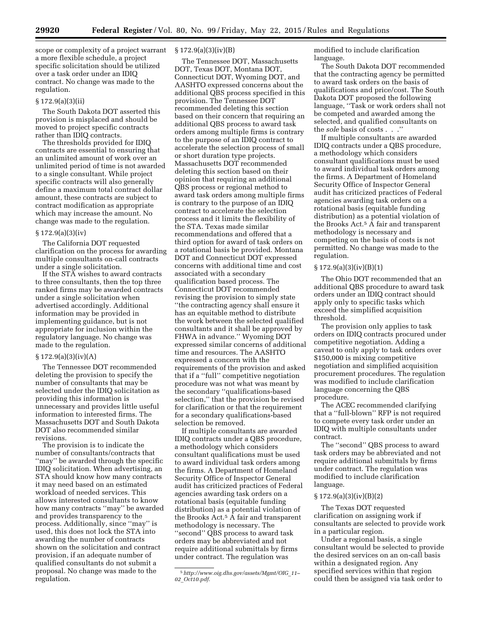scope or complexity of a project warrant a more flexible schedule, a project specific solicitation should be utilized over a task order under an IDIQ contract. No change was made to the regulation.

#### $§ 172.9(a)(3)(ii)$

The South Dakota DOT asserted this provision is misplaced and should be moved to project specific contracts rather than IDIQ contracts.

The thresholds provided for IDIQ contracts are essential to ensuring that an unlimited amount of work over an unlimited period of time is not awarded to a single consultant. While project specific contracts will also generally define a maximum total contract dollar amount, these contracts are subject to contract modification as appropriate which may increase the amount. No change was made to the regulation.

## § 172.9(a)(3)(iv)

The California DOT requested clarification on the process for awarding multiple consultants on-call contracts under a single solicitation.

If the STA wishes to award contracts to three consultants, then the top three ranked firms may be awarded contracts under a single solicitation when advertised accordingly. Additional information may be provided in implementing guidance, but is not appropriate for inclusion within the regulatory language. No change was made to the regulation.

# $§ 172.9(a)(3)(iv)(A)$

The Tennessee DOT recommended deleting the provision to specify the number of consultants that may be selected under the IDIQ solicitation as providing this information is unnecessary and provides little useful information to interested firms. The Massachusetts DOT and South Dakota DOT also recommended similar revisions.

The provision is to indicate the number of consultants/contracts that ''may'' be awarded through the specific IDIQ solicitation. When advertising, an STA should know how many contracts it may need based on an estimated workload of needed services. This allows interested consultants to know how many contracts ''may'' be awarded and provides transparency to the process. Additionally, since ''may'' is used, this does not lock the STA into awarding the number of contracts shown on the solicitation and contract provision, if an adequate number of qualified consultants do not submit a proposal. No change was made to the regulation.

#### $§ 172.9(a)(3)(iv)(B)$

The Tennessee DOT, Massachusetts DOT, Texas DOT, Montana DOT, Connecticut DOT, Wyoming DOT, and AASHTO expressed concerns about the additional QBS process specified in this provision. The Tennessee DOT recommended deleting this section based on their concern that requiring an additional QBS process to award task orders among multiple firms is contrary to the purpose of an IDIQ contract to accelerate the selection process of small or short duration type projects. Massachusetts DOT recommended deleting this section based on their opinion that requiring an additional QBS process or regional method to award task orders among multiple firms is contrary to the purpose of an IDIQ contract to accelerate the selection process and it limits the flexibility of the STA. Texas made similar recommendations and offered that a third option for award of task orders on a rotational basis be provided. Montana DOT and Connecticut DOT expressed concerns with additional time and cost associated with a secondary qualification based process. The Connecticut DOT recommended revising the provision to simply state ''the contracting agency shall ensure it has an equitable method to distribute the work between the selected qualified consultants and it shall be approved by FHWA in advance.'' Wyoming DOT expressed similar concerns of additional time and resources. The AASHTO expressed a concern with the requirements of the provision and asked that if a ''full'' competitive negotiation procedure was not what was meant by the secondary ''qualifications-based selection,'' that the provision be revised for clarification or that the requirement for a secondary qualifications-based selection be removed.

If multiple consultants are awarded IDIQ contracts under a QBS procedure, a methodology which considers consultant qualifications must be used to award individual task orders among the firms. A Department of Homeland Security Office of Inspector General audit has criticized practices of Federal agencies awarding task orders on a rotational basis (equitable funding distribution) as a potential violation of the Brooks Act.5 A fair and transparent methodology is necessary. The ''second'' QBS process to award task orders may be abbreviated and not require additional submittals by firms under contract. The regulation was

modified to include clarification language.

The South Dakota DOT recommended that the contracting agency be permitted to award task orders on the basis of qualifications and price/cost. The South Dakota DOT proposed the following language, ''Task or work orders shall not be competed and awarded among the selected, and qualified consultants on the *sole* basis of costs . . .''

If multiple consultants are awarded IDIQ contracts under a QBS procedure, a methodology which considers consultant qualifications must be used to award individual task orders among the firms. A Department of Homeland Security Office of Inspector General audit has criticized practices of Federal agencies awarding task orders on a rotational basis (equitable funding distribution) as a potential violation of the Brooks Act.5 A fair and transparent methodology is necessary and competing on the basis of costs is not permitted. No change was made to the regulation.

# $§ 172.9(a)(3)(iv)(B)(1)$

The Ohio DOT recommended that an additional QBS procedure to award task orders under an IDIQ contract should apply only to specific tasks which exceed the simplified acquisition threshold.

The provision only applies to task orders on IDIQ contracts procured under competitive negotiation. Adding a caveat to only apply to task orders over \$150,000 is mixing competitive negotiation and simplified acquisition procurement procedures. The regulation was modified to include clarification language concerning the QBS procedure.

The ACEC recommended clarifying that a ''full-blown'' RFP is not required to compete every task order under an IDIQ with multiple consultants under contract.

The ''second'' QBS process to award task orders may be abbreviated and not require additional submittals by firms under contract. The regulation was modified to include clarification language.

# § 172.9(a)(3)(iv)(B)(2)

The Texas DOT requested clarification on assigning work if consultants are selected to provide work in a particular region.

Under a regional basis, a single consultant would be selected to provide the desired services on an on-call basis within a designated region. Any specified services within that region could then be assigned via task order to

<sup>5</sup>*[http://www.oig.dhs.gov/assets/Mgmt/OIG](http://www.oig.dhs.gov/assets/Mgmt/OIG_11-02_Oct10.pdf)*\_*11– 02*\_*[Oct10.pdf](http://www.oig.dhs.gov/assets/Mgmt/OIG_11-02_Oct10.pdf)*.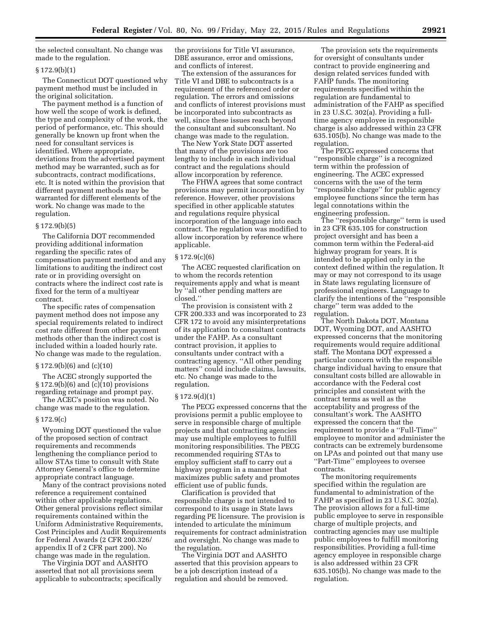the selected consultant. No change was made to the regulation.

#### § 172.9(b)(1)

The Connecticut DOT questioned why payment method must be included in the original solicitation.

The payment method is a function of how well the scope of work is defined, the type and complexity of the work, the period of performance, etc. This should generally be known up front when the need for consultant services is identified. Where appropriate, deviations from the advertised payment method may be warranted, such as for subcontracts, contract modifications, etc. It is noted within the provision that different payment methods may be warranted for different elements of the work. No change was made to the regulation.

#### § 172.9(b)(5)

The California DOT recommended providing additional information regarding the specific rates of compensation payment method and any limitations to auditing the indirect cost rate or in providing oversight on contracts where the indirect cost rate is fixed for the term of a multiyear contract.

The specific rates of compensation payment method does not impose any special requirements related to indirect cost rate different from other payment methods other than the indirect cost is included within a loaded hourly rate. No change was made to the regulation.

#### § 172.9(b)(6) and (c)(10)

The ACEC strongly supported the § 172.9(b)(6) and (c)(10) provisions regarding retainage and prompt pay.

The ACEC's position was noted. No change was made to the regulation.

#### § 172.9(c)

Wyoming DOT questioned the value of the proposed section of contract requirements and recommends lengthening the compliance period to allow STAs time to consult with State Attorney General's office to determine appropriate contract language.

Many of the contract provisions noted reference a requirement contained within other applicable regulations. Other general provisions reflect similar requirements contained within the Uniform Administrative Requirements, Cost Principles and Audit Requirements for Federal Awards (2 CFR 200.326/ appendix II of 2 CFR part 200). No change was made in the regulation.

The Virginia DOT and AASHTO asserted that not all provisions seem applicable to subcontracts; specifically the provisions for Title VI assurance, DBE assurance, error and omissions, and conflicts of interest.

The extension of the assurances for Title VI and DBE to subcontracts is a requirement of the referenced order or regulation. The errors and omissions and conflicts of interest provisions must be incorporated into subcontracts as well, since these issues reach beyond the consultant and subconsultant. No change was made to the regulation.

The New York State DOT asserted that many of the provisions are too lengthy to include in each individual contract and the regulations should allow incorporation by reference.

The FHWA agrees that some contract provisions may permit incorporation by reference. However, other provisions specified in other applicable statutes and regulations require physical incorporation of the language into each contract. The regulation was modified to allow incorporation by reference where applicable.

#### § 172.9(c)(6)

The ACEC requested clarification on to whom the records retention requirements apply and what is meant by ''all other pending matters are closed.''

The provision is consistent with 2 CFR 200.333 and was incorporated to 23 CFR 172 to avoid any misinterpretations of its application to consultant contracts under the FAHP. As a consultant contract provision, it applies to consultants under contract with a contracting agency. ''All other pending matters'' could include claims, lawsuits, etc. No change was made to the regulation.

#### $§ 172.9(d)(1)$

The PECG expressed concerns that the provisions permit a public employee to serve in responsible charge of multiple projects and that contracting agencies may use multiple employees to fulfill monitoring responsibilities. The PECG recommended requiring STAs to employ sufficient staff to carry out a highway program in a manner that maximizes public safety and promotes efficient use of public funds.

Clarification is provided that responsible charge is not intended to correspond to its usage in State laws regarding PE licensure. The provision is intended to articulate the minimum requirements for contract administration and oversight. No change was made to the regulation.

The Virginia DOT and AASHTO asserted that this provision appears to be a job description instead of a regulation and should be removed.

The provision sets the requirements for oversight of consultants under contract to provide engineering and design related services funded with FAHP funds. The monitoring requirements specified within the regulation are fundamental to administration of the FAHP as specified in 23 U.S.C. 302(a). Providing a fulltime agency employee in responsible charge is also addressed within 23 CFR 635.105(b). No change was made to the regulation.

The PECG expressed concerns that ''responsible charge'' is a recognized term within the profession of engineering. The ACEC expressed concerns with the use of the term ''responsible charge'' for public agency employee functions since the term has legal connotations within the engineering profession.

The ''responsible charge'' term is used in 23 CFR 635.105 for construction project oversight and has been a common term within the Federal-aid highway program for years. It is intended to be applied only in the context defined within the regulation. It may or may not correspond to its usage in State laws regulating licensure of professional engineers. Language to clarify the intentions of the ''responsible charge'' term was added to the regulation.

The North Dakota DOT, Montana DOT, Wyoming DOT, and AASHTO expressed concerns that the monitoring requirements would require additional staff. The Montana DOT expressed a particular concern with the responsible charge individual having to ensure that consultant costs billed are allowable in accordance with the Federal cost principles and consistent with the contract terms as well as the acceptability and progress of the consultant's work. The AASHTO expressed the concern that the requirement to provide a ''Full-Time'' employee to monitor and administer the contracts can be extremely burdensome on LPAs and pointed out that many use ''Part-Time'' employees to oversee contracts.

The monitoring requirements specified within the regulation are fundamental to administration of the FAHP as specified in 23 U.S.C. 302(a). The provision allows for a full-time public employee to serve in responsible charge of multiple projects, and contracting agencies may use multiple public employees to fulfill monitoring responsibilities. Providing a full-time agency employee in responsible charge is also addressed within 23 CFR 635.105(b). No change was made to the regulation.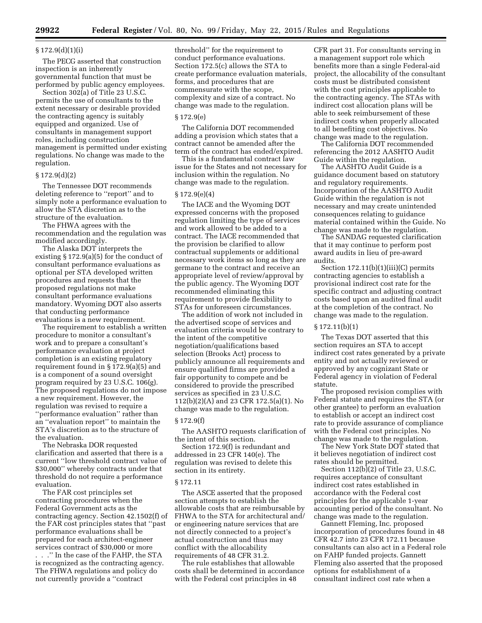# § 172.9(d)(1)(i)

The PECG asserted that construction inspection is an inherently governmental function that must be performed by public agency employees.

Section 302(a) of Title 23 U.S.C. permits the use of consultants to the extent necessary or desirable provided the contracting agency is suitably equipped and organized. Use of consultants in management support roles, including construction management is permitted under existing regulations. No change was made to the regulation.

# § 172.9(d)(2)

The Tennessee DOT recommends deleting reference to ''report'' and to simply note a performance evaluation to allow the STA discretion as to the structure of the evaluation.

The FHWA agrees with the recommendation and the regulation was modified accordingly.

The Alaska DOT interprets the existing § 172.9(a)(5) for the conduct of consultant performance evaluations as optional per STA developed written procedures and requests that the proposed regulations not make consultant performance evaluations mandatory. Wyoming DOT also asserts that conducting performance evaluations is a new requirement.

The requirement to establish a written procedure to monitor a consultant's work and to prepare a consultant's performance evaluation at project completion is an existing regulatory requirement found in § 172.9(a)(5) and is a component of a sound oversight program required by 23 U.S.C. 106(g). The proposed regulations do not impose a new requirement. However, the regulation was revised to require a ''performance evaluation'' rather than an ''evaluation report'' to maintain the STA's discretion as to the structure of the evaluation.

The Nebraska DOR requested clarification and asserted that there is a current ''low threshold contract value of \$30,000'' whereby contracts under that threshold do not require a performance evaluation.

The FAR cost principles set contracting procedures when the Federal Government acts as the contracting agency. Section 42.1502(f) of the FAR cost principles states that ''past performance evaluations shall be prepared for each architect-engineer services contract of \$30,000 or more . . .'' In the case of the FAHP, the STA is recognized as the contracting agency. The FHWA regulations and policy do not currently provide a ''contract

threshold'' for the requirement to conduct performance evaluations. Section 172.5(c) allows the STA to create performance evaluation materials, forms, and procedures that are commensurate with the scope, complexity and size of a contract. No change was made to the regulation.

# § 172.9(e)

The California DOT recommended adding a provision which states that a contract cannot be amended after the term of the contract has ended/expired.

This is a fundamental contract law issue for the States and not necessary for inclusion within the regulation. No change was made to the regulation.

# § 172.9(e)(4)

The IACE and the Wyoming DOT expressed concerns with the proposed regulation limiting the type of services and work allowed to be added to a contract. The IACE recommended that the provision be clarified to allow contractual supplements or additional necessary work items so long as they are germane to the contract and receive an appropriate level of review/approval by the public agency. The Wyoming DOT recommended eliminating this requirement to provide flexibility to STAs for unforeseen circumstances.

The addition of work not included in the advertised scope of services and evaluation criteria would be contrary to the intent of the competitive negotiation/qualifications based selection (Brooks Act) process to publicly announce all requirements and ensure qualified firms are provided a fair opportunity to compete and be considered to provide the prescribed services as specified in 23 U.S.C. 112(b)(2)(A) and 23 CFR 172.5(a)(1). No change was made to the regulation.

#### § 172.9(f)

The AASHTO requests clarification of the intent of this section.

Section 172.9(f) is redundant and addressed in 23 CFR 140(e). The regulation was revised to delete this section in its entirety.

#### § 172.11

The ASCE asserted that the proposed section attempts to establish the allowable costs that are reimbursable by FHWA to the STA for architectural and/ or engineering nature services that are not directly connected to a project's actual construction and thus may conflict with the allocability requirements of 48 CFR 31.2.

The rule establishes that allowable costs shall be determined in accordance with the Federal cost principles in 48

CFR part 31. For consultants serving in a management support role which benefits more than a single Federal-aid project, the allocability of the consultant costs must be distributed consistent with the cost principles applicable to the contracting agency. The STAs with indirect cost allocation plans will be able to seek reimbursement of these indirect costs when properly allocated to all benefiting cost objectives. No change was made to the regulation.

The California DOT recommended referencing the 2012 AASHTO Audit Guide within the regulation.

The AASHTO Audit Guide is a guidance document based on statutory and regulatory requirements. Incorporation of the AASHTO Audit Guide within the regulation is not necessary and may create unintended consequences relating to guidance material contained within the Guide. No change was made to the regulation.

The SANDAG requested clarification that it may continue to perform post award audits in lieu of pre-award audits.

Section  $172.11(b)(1)(iii)(C)$  permits contracting agencies to establish a provisional indirect cost rate for the specific contract and adjusting contract costs based upon an audited final audit at the completion of the contract. No change was made to the regulation.

#### § 172.11(b)(1)

The Texas DOT asserted that this section requires an STA to accept indirect cost rates generated by a private entity and not actually reviewed or approved by any cognizant State or Federal agency in violation of Federal statute.

The proposed revision complies with Federal statute and requires the STA (or other grantee) to perform an evaluation to establish or accept an indirect cost rate to provide assurance of compliance with the Federal cost principles. No change was made to the regulation.

The New York State DOT stated that it believes negotiation of indirect cost rates should be permitted.

Section 112(b)(2) of Title 23, U.S.C. requires acceptance of consultant indirect cost rates established in accordance with the Federal cost principles for the applicable 1-year accounting period of the consultant. No change was made to the regulation.

Gannett Fleming, Inc. proposed incorporation of procedures found in 48 CFR 42.7 into 23 CFR 172.11 because consultants can also act in a Federal role on FAHP funded projects. Gannett Fleming also asserted that the proposed options for establishment of a consultant indirect cost rate when a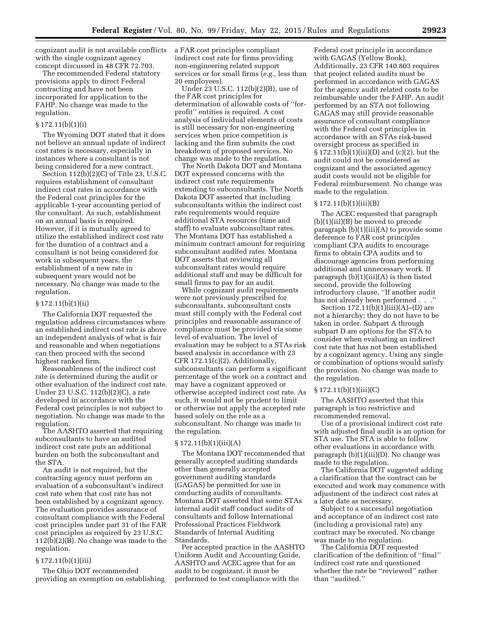cognizant audit is not available conflicts with the single cognizant agency concept discussed in 48 CFR 72.703.

The recommended Federal statutory provisions apply to direct Federal contracting and have not been incorporated for application to the FAHP. No change was made to the regulation.

# § 172.11(b)(1)(i)

The Wyoming DOT stated that it does not believe an annual update of indirect cost rates is necessary, especially in instances where a consultant is not being considered for a new contract.

Section 112(b)(2)(C) of Title 23, U.S.C. requires establishment of consultant indirect cost rates in accordance with the Federal cost principles for the applicable 1-year accounting period of the consultant. As such, establishment on an annual basis is required. However, if it is mutually agreed to utilize the established indirect cost rate for the duration of a contract and a consultant is not being considered for work in subsequent years, the establishment of a new rate in subsequent years would not be necessary. No change was made to the regulation.

#### § 172.11(b)(1)(ii)

The California DOT requested the regulation address circumstances where an established indirect cost rate is above an independent analysis of what is fair and reasonable and when negotiations can then proceed with the second highest ranked firm.

Reasonableness of the indirect cost rate is determined during the audit or other evaluation of the indirect cost rate. Under 23 U.S.C. 112(b)(2)(C), a rate developed in accordance with the Federal cost principles is not subject to negotiation. No change was made to the regulation.

The AASHTO asserted that requiring subconsultants to have an audited indirect cost rate puts an additional burden on both the subconsultant and the STA.

An audit is not required, but the contracting agency must perform an evaluation of a subconsultant's indirect cost rate when that cost rate has not been established by a cognizant agency. The evaluation provides assurance of consultant compliance with the Federal cost principles under part 31 of the FAR cost principles as required by 23 U.S.C. 112(b)(2)(B). No change was made to the regulation.

# § 172.11(b)(1)(iii)

The Ohio DOT recommended providing an exemption on establishing a FAR cost principles compliant indirect cost rate for firms providing non-engineering related support services or for small firms (*e.g.,* less than 20 employees).

Under 23 U.S.C. 112(b)(2)(B), use of the FAR cost principles for determination of allowable costs of ''forprofit'' entities is required. A cost analysis of individual elements of costs is still necessary for non-engineering services when price competition is lacking and the firm submits the cost breakdown of proposed services. No change was made to the regulation.

The North Dakota DOT and Montana DOT expressed concerns with the indirect cost rate requirements extending to subconsultants. The North Dakota DOT asserted that including subconsultants within the indirect cost rate requirements would require additional STA resources (time and staff) to evaluate subconsultant rates. The Montana DOT has established a minimum contract amount for requiring subconsultant audited rates. Montana DOT asserts that reviewing all subconsultant rates would require additional staff and may be difficult for small firms to pay for an audit.

While cognizant audit requirements were not previously prescribed for subconsultants, subconsultant costs must still comply with the Federal cost principles and reasonable assurance of compliance must be provided via some level of evaluation. The level of evaluation may be subject to a STAs risk based analysis in accordance with 23 CFR 172.11(c)(2). Additionally, subconsultants can perform a significant percentage of the work on a contract and may have a cognizant approved or otherwise accepted indirect cost rate. As such, it would not be prudent to limit or otherwise not apply the accepted rate based solely on the role as a subconsultant. No change was made to the regulation.

# $§ 172.11(b)(1)(iii)(A)$

The Montana DOT recommended that generally accepted auditing standards other than generally accepted government auditing standards (GAGAS) be permitted for use in conducting audits of consultants. Montana DOT asserted that some STAs internal audit staff conduct audits of consultants and follow International Professional Practices Fieldwork Standards of Internal Auditing Standards.

Per accepted practice in the AASHTO Uniform Audit and Accounting Guide, AASHTO and ACEC agree that for an audit to be cognizant, it must be performed to test compliance with the

Federal cost principle in accordance with GAGAS (Yellow Book). Additionally, 23 CFR 140.803 requires that project related audits must be performed in accordance with GAGAS for the agency audit related costs to be reimbursable under the FAHP. An audit performed by an STA not following GAGAS may still provide reasonable assurance of consultant compliance with the Federal cost principles in accordance with an STAs risk-based oversight process as specified in § 172.11(b)(1)(iii)(D) and (c)(2), but the audit could not be considered as cognizant and the associated agency audit costs would not be eligible for Federal reimbursement. No change was made to the regulation.

#### § 172.11(b)(1)(iii)(B)

The ACEC requested that paragraph (b)(1)(iii)(B) be moved to precede paragraph (b)(1)(iii)(A) to provide some deference to FAR cost principles compliant CPA audits to encourage firms to obtain CPA audits and to discourage agencies from performing additional and unnecessary work. If paragraph  $(b)(1)(iii)(A)$  is then listed second, provide the following introductory clause, ''If another audit has not already been performed . . .''

Section  $172.11(b)(1)(iii)(A)$ –(D) are not a hierarchy; they do not have to be taken in order. Subpart A through subpart D are options for the STA to consider when evaluating an indirect cost rate that has not been established by a cognizant agency. Using any single or combination of options would satisfy the provision. No change was made to the regulation.

#### $§ 172.11(b)(1)(iii)(C)$

The AASHTO asserted that this paragraph is too restrictive and recommended removal.

Use of a provisional indirect cost rate with adjusted final audit is an option for STA use. The STA is able to follow other evaluations in accordance with paragraph  $(b)(1)(iii)(D)$ . No change was made to the regulation.

The California DOT suggested adding a clarification that the contract can be executed and work may commence with adjustment of the indirect cost rates at a later date as necessary.

Subject to a successful negotiation and acceptance of an indirect cost rate (including a provisional rate) any contract may be executed. No change was made to the regulation.

The California DOT requested clarification of the definition of ''final'' indirect cost rate and questioned whether the rate be ''reviewed'' rather than ''audited.''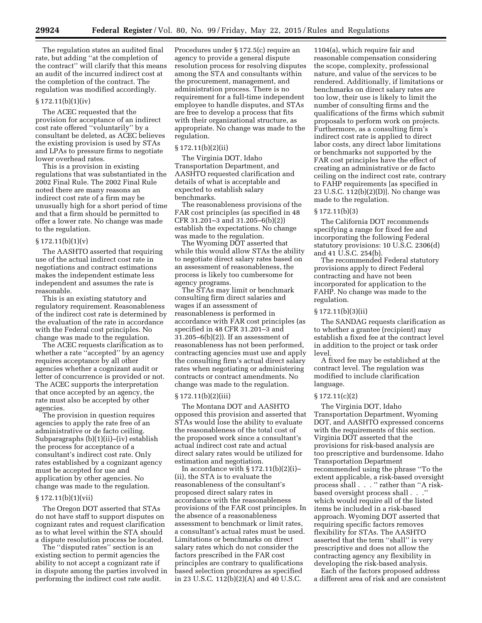The regulation states an audited final rate, but adding ''at the completion of the contract'' will clarify that this means an audit of the incurred indirect cost at the completion of the contract. The regulation was modified accordingly.

#### $§ 172.11(b)(1)(iv)$

The ACEC requested that the provision for acceptance of an indirect cost rate offered ''voluntarily'' by a consultant be deleted, as ACEC believes the existing provision is used by STAs and LPAs to pressure firms to negotiate lower overhead rates.

This is a provision in existing regulations that was substantiated in the 2002 Final Rule. The 2002 Final Rule noted there are many reasons an indirect cost rate of a firm may be unusually high for a short period of time and that a firm should be permitted to offer a lower rate. No change was made to the regulation.

#### $§ 172.11(b)(1)(v)$

The AASHTO asserted that requiring use of the actual indirect cost rate in negotiations and contract estimations makes the independent estimate less independent and assumes the rate is reasonable.

This is an existing statutory and regulatory requirement. Reasonableness of the indirect cost rate is determined by the evaluation of the rate in accordance with the Federal cost principles. No change was made to the regulation.

The ACEC requests clarification as to whether a rate ''accepted'' by an agency requires acceptance by all other agencies whether a cognizant audit or letter of concurrence is provided or not. The ACEC supports the interpretation that once accepted by an agency, the rate must also be accepted by other agencies.

The provision in question requires agencies to apply the rate free of an administrative or de facto ceiling. Subparagraphs (b)(1)(ii)–(iv) establish the process for acceptance of a consultant's indirect cost rate. Only rates established by a cognizant agency must be accepted for use and application by other agencies. No change was made to the regulation.

#### § 172.11(b)(1)(vii)

The Oregon DOT asserted that STAs do not have staff to support disputes on cognizant rates and request clarification as to what level within the STA should a dispute resolution process be located.

The ''disputed rates'' section is an existing section to permit agencies the ability to not accept a cognizant rate if in dispute among the parties involved in performing the indirect cost rate audit.

Procedures under § 172.5(c) require an agency to provide a general dispute resolution process for resolving disputes among the STA and consultants within the procurement, management, and administration process. There is no requirement for a full-time independent employee to handle disputes, and STAs are free to develop a process that fits with their organizational structure, as appropriate. No change was made to the regulation.

# § 172.11(b)(2)(ii)

The Virginia DOT, Idaho Transportation Department, and AASHTO requested clarification and details of what is acceptable and expected to establish salary benchmarks.

The reasonableness provisions of the FAR cost principles (as specified in 48 CFR 31.201–3 and 31.205–6(b)(2)) establish the expectations. No change was made to the regulation.

The Wyoming DOT asserted that while this would allow STAs the ability to negotiate direct salary rates based on an assessment of reasonableness, the process is likely too cumbersome for agency programs.

The STAs may limit or benchmark consulting firm direct salaries and wages if an assessment of reasonableness is performed in accordance with FAR cost principles (as specified in 48 CFR 31.201–3 and  $31.205-6(b)(2)$ . If an assessment of reasonableness has not been performed, contracting agencies must use and apply the consulting firm's actual direct salary rates when negotiating or administering contracts or contract amendments. No change was made to the regulation.

#### § 172.11(b)(2)(iii)

The Montana DOT and AASHTO opposed this provision and asserted that STAs would lose the ability to evaluate the reasonableness of the total cost of the proposed work since a consultant's actual indirect cost rate and actual direct salary rates would be utilized for estimation and negotiation.

In accordance with  $\S 172.11(b)(2)(i)$ (ii), the STA is to evaluate the reasonableness of the consultant's proposed direct salary rates in accordance with the reasonableness provisions of the FAR cost principles. In the absence of a reasonableness assessment to benchmark or limit rates, a consultant's actual rates must be used. Limitations or benchmarks on direct salary rates which do not consider the factors prescribed in the FAR cost principles are contrary to qualifications based selection procedures as specified in 23 U.S.C. 112(b)(2)(A) and 40 U.S.C.

1104(a), which require fair and reasonable compensation considering the scope, complexity, professional nature, and value of the services to be rendered. Additionally, if limitations or benchmarks on direct salary rates are too low, their use is likely to limit the number of consulting firms and the qualifications of the firms which submit proposals to perform work on projects. Furthermore, as a consulting firm's indirect cost rate is applied to direct labor costs, any direct labor limitations or benchmarks not supported by the FAR cost principles have the effect of creating an administrative or de facto ceiling on the indirect cost rate, contrary to FAHP requirements [as specified in 23 U.S.C. 112(b)(2)(D)]. No change was made to the regulation.

# § 172.11(b)(3)

The California DOT recommends specifying a range for fixed fee and incorporating the following Federal statutory provisions: 10 U.S.C. 2306(d) and 41 U.S.C. 254(b).

The recommended Federal statutory provisions apply to direct Federal contracting and have not been incorporated for application to the FAHP. No change was made to the regulation.

# § 172.11(b)(3)(ii)

The SANDAG requests clarification as to whether a grantee (recipient) may establish a fixed fee at the contract level in addition to the project or task order level.

A fixed fee may be established at the contract level. The regulation was modified to include clarification language.

#### § 172.11(c)(2)

The Virginia DOT, Idaho Transportation Department, Wyoming DOT, and AASHTO expressed concerns with the requirements of this section. Virginia DOT asserted that the provisions for risk-based analysis are too prescriptive and burdensome. Idaho Transportation Department recommended using the phrase ''To the extent applicable, a risk-based oversight process shall . . . '' rather than ''A riskbased oversight process shall . . .'' which would require all of the listed items be included in a risk-based approach. Wyoming DOT asserted that requiring specific factors removes flexibility for STAs. The AASHTO asserted that the term ''shall'' is very prescriptive and does not allow the contracting agency any flexibility in developing the risk-based analysis.

Each of the factors proposed address a different area of risk and are consistent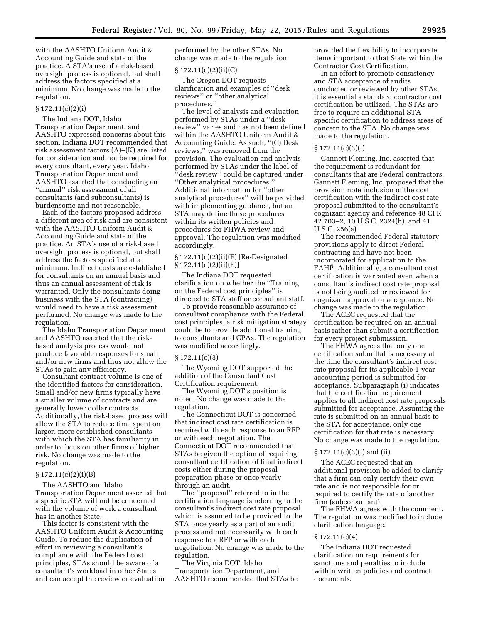with the AASHTO Uniform Audit & Accounting Guide and state of the practice. A STA's use of a risk-based oversight process is optional, but shall address the factors specified at a minimum. No change was made to the regulation.

# § 172.11(c)(2)(i)

The Indiana DOT, Idaho Transportation Department, and AASHTO expressed concerns about this section. Indiana DOT recommended that risk assessment factors (A)–(K) are listed for consideration and not be required for every consultant, every year. Idaho Transportation Department and AASHTO asserted that conducting an ''annual'' risk assessment of all consultants (and subconsultants) is burdensome and not reasonable.

Each of the factors proposed address a different area of risk and are consistent with the AASHTO Uniform Audit & Accounting Guide and state of the practice. An STA's use of a risk-based oversight process is optional, but shall address the factors specified at a minimum. Indirect costs are established for consultants on an annual basis and thus an annual assessment of risk is warranted. Only the consultants doing business with the STA (contracting) would need to have a risk assessment performed. No change was made to the regulation.

The Idaho Transportation Department and AASHTO asserted that the riskbased analysis process would not produce favorable responses for small and/or new firms and thus not allow the STAs to gain any efficiency.

Consultant contract volume is one of the identified factors for consideration. Small and/or new firms typically have a smaller volume of contracts and are generally lower dollar contracts. Additionally, the risk-based process will allow the STA to reduce time spent on larger, more established consultants with which the STA has familiarity in order to focus on other firms of higher risk. No change was made to the regulation.

# § 172.11(c)(2)(i)(B)

The AASHTO and Idaho Transportation Department asserted that a specific STA will not be concerned with the volume of work a consultant has in another State.

This factor is consistent with the AASHTO Uniform Audit & Accounting Guide. To reduce the duplication of effort in reviewing a consultant's compliance with the Federal cost principles, STAs should be aware of a consultant's workload in other States and can accept the review or evaluation performed by the other STAs. No change was made to the regulation.

#### § 172.11(c)(2)(ii)(C)

The Oregon DOT requests clarification and examples of ''desk reviews'' or ''other analytical procedures.''

The level of analysis and evaluation performed by STAs under a ''desk review'' varies and has not been defined within the AASHTO Uniform Audit & Accounting Guide. As such, ''(C) Desk reviews;'' was removed from the provision. The evaluation and analysis performed by STAs under the label of ''desk review'' could be captured under ''Other analytical procedures.'' Additional information for ''other analytical procedures'' will be provided with implementing guidance, but an STA may define these procedures within its written policies and procedures for FHWA review and approval. The regulation was modified accordingly.

# § 172.11(c)(2)(ii)(F) [Re-Designated  $\S 172.11(c)(2)(ii)(E)]$

The Indiana DOT requested clarification on whether the ''Training on the Federal cost principles'' is directed to STA staff or consultant staff.

To provide reasonable assurance of consultant compliance with the Federal cost principles, a risk mitigation strategy could be to provide additional training to consultants and CPAs. The regulation was modified accordingly.

#### § 172.11(c)(3)

The Wyoming DOT supported the addition of the Consultant Cost Certification requirement.

The Wyoming DOT's position is noted. No change was made to the regulation.

The Connecticut DOT is concerned that indirect cost rate certification is required with each response to an RFP or with each negotiation. The Connecticut DOT recommended that STAs be given the option of requiring consultant certification of final indirect costs either during the proposal preparation phase or once yearly through an audit.

The ''proposal'' referred to in the certification language is referring to the consultant's indirect cost rate proposal which is assumed to be provided to the STA once yearly as a part of an audit process and not necessarily with each response to a RFP or with each negotiation. No change was made to the regulation.

The Virginia DOT, Idaho Transportation Department, and AASHTO recommended that STAs be provided the flexibility to incorporate items important to that State within the Contractor Cost Certification.

In an effort to promote consistency and STA acceptance of audits conducted or reviewed by other STAs, it is essential a standard contractor cost certification be utilized. The STAs are free to require an additional STA specific certification to address areas of concern to the STA. No change was made to the regulation.

#### § 172.11(c)(3)(i)

Gannett Fleming, Inc. asserted that the requirement is redundant for consultants that are Federal contractors. Gannett Fleming, Inc. proposed that the provision note inclusion of the cost certification with the indirect cost rate proposal submitted to the consultant's cognizant agency and reference 48 CFR 42.703–2, 10 U.S.C. 2324(h), and 41 U.S.C. 256(a).

The recommended Federal statutory provisions apply to direct Federal contracting and have not been incorporated for application to the FAHP. Additionally, a consultant cost certification is warranted even when a consultant's indirect cost rate proposal is not being audited or reviewed for cognizant approval or acceptance. No change was made to the regulation.

The ACEC requested that the certification be required on an annual basis rather than submit a certification for every project submission.

The FHWA agrees that only one certification submittal is necessary at the time the consultant's indirect cost rate proposal for its applicable 1-year accounting period is submitted for acceptance. Subparagraph (i) indicates that the certification requirement applies to all indirect cost rate proposals submitted for acceptance. Assuming the rate is submitted on an annual basis to the STA for acceptance, only one certification for that rate is necessary. No change was made to the regulation.

# § 172.11(c)(3)(i) and (ii)

The ACEC requested that an additional provision be added to clarify that a firm can only certify their own rate and is not responsible for or required to certify the rate of another firm (subconsultant).

The FHWA agrees with the comment. The regulation was modified to include clarification language.

#### § 172.11(c)(4)

The Indiana DOT requested clarification on requirements for sanctions and penalties to include within written policies and contract documents.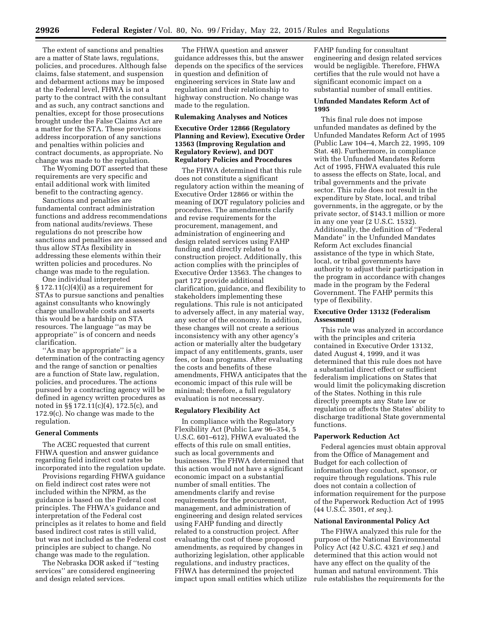The extent of sanctions and penalties are a matter of State laws, regulations, policies, and procedures. Although false claims, false statement, and suspension and debarment actions may be imposed at the Federal level, FHWA is not a party to the contract with the consultant and as such, any contract sanctions and penalties, except for those prosecutions brought under the False Claims Act are a matter for the STA. These provisions address incorporation of any sanctions and penalties within policies and contract documents, as appropriate. No change was made to the regulation.

The Wyoming DOT asserted that these requirements are very specific and entail additional work with limited benefit to the contracting agency.

Sanctions and penalties are fundamental contract administration functions and address recommendations from national audits/reviews. These regulations do not prescribe how sanctions and penalties are assessed and thus allow STAs flexibility in addressing these elements within their written policies and procedures. No change was made to the regulation.

One individual interpreted  $\S 172.11(c)(4)(i)$  as a requirement for STAs to pursue sanctions and penalties against consultants who knowingly charge unallowable costs and asserts this would be a hardship on STA resources. The language ''as may be appropriate'' is of concern and needs clarification.

"As may be appropriate" is a determination of the contracting agency and the range of sanction or penalties are a function of State law, regulation, policies, and procedures. The actions pursued by a contracting agency will be defined in agency written procedures as noted in §§ 172.11(c)(4), 172.5(c), and 172.9(c). No change was made to the regulation.

#### **General Comments**

The ACEC requested that current FHWA question and answer guidance regarding field indirect cost rates be incorporated into the regulation update.

Provisions regarding FHWA guidance on field indirect cost rates were not included within the NPRM, as the guidance is based on the Federal cost principles. The FHWA's guidance and interpretation of the Federal cost principles as it relates to home and field based indirect cost rates is still valid, but was not included as the Federal cost principles are subject to change. No change was made to the regulation.

The Nebraska DOR asked if ''testing services'' are considered engineering and design related services.

The FHWA question and answer guidance addresses this, but the answer depends on the specifics of the services in question and definition of engineering services in State law and regulation and their relationship to highway construction. No change was made to the regulation.

#### **Rulemaking Analyses and Notices**

# **Executive Order 12866 (Regulatory Planning and Review), Executive Order 13563 (Improving Regulation and Regulatory Review), and DOT Regulatory Policies and Procedures**

The FHWA determined that this rule does not constitute a significant regulatory action within the meaning of Executive Order 12866 or within the meaning of DOT regulatory policies and procedures. The amendments clarify and revise requirements for the procurement, management, and administration of engineering and design related services using FAHP funding and directly related to a construction project. Additionally, this action complies with the principles of Executive Order 13563. The changes to part 172 provide additional clarification, guidance, and flexibility to stakeholders implementing these regulations. This rule is not anticipated to adversely affect, in any material way, any sector of the economy. In addition, these changes will not create a serious inconsistency with any other agency's action or materially alter the budgetary impact of any entitlements, grants, user fees, or loan programs. After evaluating the costs and benefits of these amendments, FHWA anticipates that the economic impact of this rule will be minimal; therefore, a full regulatory evaluation is not necessary.

#### **Regulatory Flexibility Act**

In compliance with the Regulatory Flexibility Act (Public Law 96–354, 5 U.S.C. 601–612), FHWA evaluated the effects of this rule on small entities, such as local governments and businesses. The FHWA determined that this action would not have a significant economic impact on a substantial number of small entities. The amendments clarify and revise requirements for the procurement, management, and administration of engineering and design related services using FAHP funding and directly related to a construction project. After evaluating the cost of these proposed amendments, as required by changes in authorizing legislation, other applicable regulations, and industry practices, FHWA has determined the projected impact upon small entities which utilize FAHP funding for consultant engineering and design related services would be negligible. Therefore, FHWA certifies that the rule would not have a significant economic impact on a substantial number of small entities.

# **Unfunded Mandates Reform Act of 1995**

This final rule does not impose unfunded mandates as defined by the Unfunded Mandates Reform Act of 1995 (Public Law 104–4, March 22, 1995, 109 Stat. 48). Furthermore, in compliance with the Unfunded Mandates Reform Act of 1995, FHWA evaluated this rule to assess the effects on State, local, and tribal governments and the private sector. This rule does not result in the expenditure by State, local, and tribal governments, in the aggregate, or by the private sector, of \$143.1 million or more in any one year (2 U.S.C. 1532). Additionally, the definition of ''Federal Mandate'' in the Unfunded Mandates Reform Act excludes financial assistance of the type in which State, local, or tribal governments have authority to adjust their participation in the program in accordance with changes made in the program by the Federal Government. The FAHP permits this type of flexibility.

# **Executive Order 13132 (Federalism Assessment)**

This rule was analyzed in accordance with the principles and criteria contained in Executive Order 13132, dated August 4, 1999, and it was determined that this rule does not have a substantial direct effect or sufficient federalism implications on States that would limit the policymaking discretion of the States. Nothing in this rule directly preempts any State law or regulation or affects the States' ability to discharge traditional State governmental functions.

#### **Paperwork Reduction Act**

Federal agencies must obtain approval from the Office of Management and Budget for each collection of information they conduct, sponsor, or require through regulations. This rule does not contain a collection of information requirement for the purpose of the Paperwork Reduction Act of 1995 (44 U.S.C. 3501, *et seq.*).

# **National Environmental Policy Act**

The FHWA analyzed this rule for the purpose of the National Environmental Policy Act (42 U.S.C. 4321 *et seq.*) and determined that this action would not have any effect on the quality of the human and natural environment. This rule establishes the requirements for the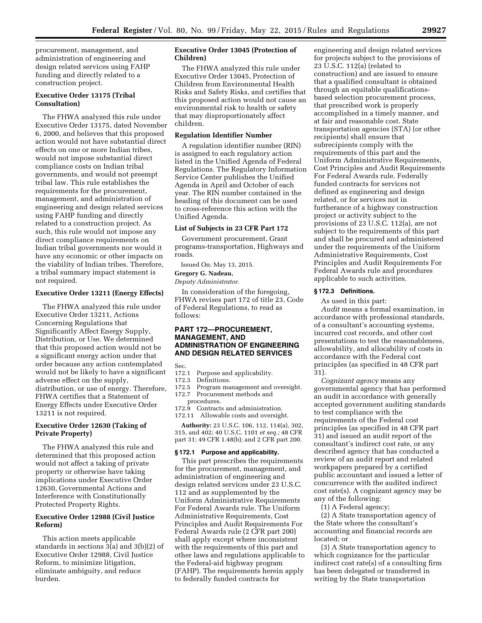procurement, management, and administration of engineering and design related services using FAHP funding and directly related to a construction project.

# **Executive Order 13175 (Tribal Consultation)**

The FHWA analyzed this rule under Executive Order 13175, dated November 6, 2000, and believes that this proposed action would not have substantial direct effects on one or more Indian tribes, would not impose substantial direct compliance costs on Indian tribal governments, and would not preempt tribal law. This rule establishes the requirements for the procurement, management, and administration of engineering and design related services using FAHP funding and directly related to a construction project. As such, this rule would not impose any direct compliance requirements on Indian tribal governments nor would it have any economic or other impacts on the viability of Indian tribes. Therefore, a tribal summary impact statement is not required.

# **Executive Order 13211 (Energy Effects)**

The FHWA analyzed this rule under Executive Order 13211, Actions Concerning Regulations that Significantly Affect Energy Supply, Distribution, or Use. We determined that this proposed action would not be a significant energy action under that order because any action contemplated would not be likely to have a significant adverse effect on the supply, distribution, or use of energy. Therefore, FHWA certifies that a Statement of Energy Effects under Executive Order 13211 is not required.

# **Executive Order 12630 (Taking of Private Property)**

The FHWA analyzed this rule and determined that this proposed action would not affect a taking of private property or otherwise have taking implications under Executive Order 12630, Governmental Actions and Interference with Constitutionally Protected Property Rights.

# **Executive Order 12988 (Civil Justice Reform)**

This action meets applicable standards in sections 3(a) and 3(b)(2) of Executive Order 12988, Civil Justice Reform, to minimize litigation, eliminate ambiguity, and reduce burden.

# **Executive Order 13045 (Protection of Children)**

The FHWA analyzed this rule under Executive Order 13045, Protection of Children from Environmental Health Risks and Safety Risks, and certifies that this proposed action would not cause an environmental risk to health or safety that may disproportionately affect children.

# **Regulation Identifier Number**

A regulation identifier number (RIN) is assigned to each regulatory action listed in the Unified Agenda of Federal Regulations. The Regulatory Information Service Center publishes the Unified Agenda in April and October of each year. The RIN number contained in the heading of this document can be used to cross-reference this action with the Unified Agenda.

# **List of Subjects in 23 CFR Part 172**

Government procurement, Grant programs-transportation, Highways and roads.

Issued On: May 13, 2015.

# **Gregory G. Nadeau,**

*Deputy Administrator.* 

In consideration of the foregoing, FHWA revises part 172 of title 23, Code of Federal Regulations, to read as follows:

# **PART 172—PROCUREMENT, MANAGEMENT, AND ADMINISTRATION OF ENGINEERING AND DESIGN RELATED SERVICES**

Sec.

172.1 Purpose and applicability.<br>172.3 Definitions.

#### Definitions.

- 172.5 Program management and oversight. 172.7 Procurement methods and
- procedures.

172.9 Contracts and administration. 172.11 Allowable costs and oversight.

**Authority:** 23 U.S.C. 106, 112, 114(a), 302, 315, and 402; 40 U.S.C. 1101 *et seq.;* 48 CFR part 31; 49 CFR 1.48(b); and 2 CFR part 200.

#### **§ 172.1 Purpose and applicability.**

This part prescribes the requirements for the procurement, management, and administration of engineering and design related services under 23 U.S.C. 112 and as supplemented by the Uniform Administrative Requirements For Federal Awards rule. The Uniform Administrative Requirements, Cost Principles and Audit Requirements For Federal Awards rule (2 CFR part 200) shall apply except where inconsistent with the requirements of this part and other laws and regulations applicable to the Federal-aid highway program (FAHP). The requirements herein apply to federally funded contracts for

engineering and design related services for projects subject to the provisions of 23 U.S.C. 112(a) (related to construction) and are issued to ensure that a qualified consultant is obtained through an equitable qualificationsbased selection procurement process, that prescribed work is properly accomplished in a timely manner, and at fair and reasonable cost. State transportation agencies (STA) (or other recipients) shall ensure that subrecipients comply with the requirements of this part and the Uniform Administrative Requirements, Cost Principles and Audit Requirements For Federal Awards rule. Federally funded contracts for services not defined as engineering and design related, or for services not in furtherance of a highway construction project or activity subject to the provisions of 23 U.S.C. 112(a), are not subject to the requirements of this part and shall be procured and administered under the requirements of the Uniform Administrative Requirements, Cost Principles and Audit Requirements For Federal Awards rule and procedures applicable to such activities.

# **§ 172.3 Definitions.**

As used in this part:

*Audit* means a formal examination, in accordance with professional standards, of a consultant's accounting systems, incurred cost records, and other cost presentations to test the reasonableness, allowability, and allocability of costs in accordance with the Federal cost principles (as specified in 48 CFR part 31).

*Cognizant agency* means any governmental agency that has performed an audit in accordance with generally accepted government auditing standards to test compliance with the requirements of the Federal cost principles (as specified in 48 CFR part 31) and issued an audit report of the consultant's indirect cost rate, or any described agency that has conducted a review of an audit report and related workpapers prepared by a certified public accountant and issued a letter of concurrence with the audited indirect cost rate(s). A cognizant agency may be any of the following:

(1) A Federal agency;

(2) A State transportation agency of the State where the consultant's accounting and financial records are located; or

(3) A State transportation agency to which cognizance for the particular indirect cost rate(s) of a consulting firm has been delegated or transferred in writing by the State transportation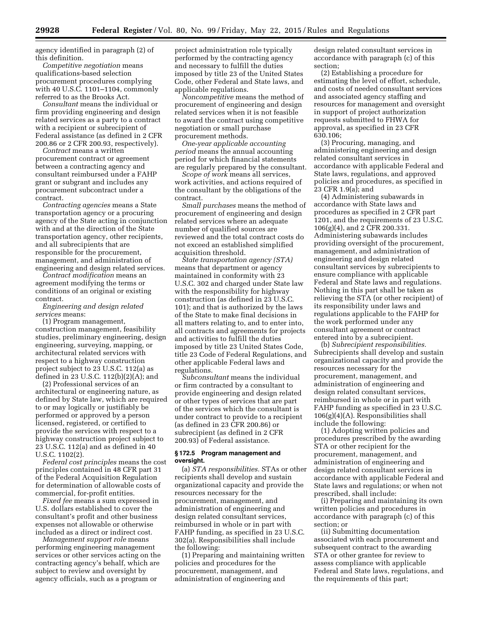agency identified in paragraph (2) of this definition.

*Competitive negotiation* means qualifications-based selection procurement procedures complying with 40 U.S.C. 1101–1104, commonly referred to as the Brooks Act.

*Consultant* means the individual or firm providing engineering and design related services as a party to a contract with a recipient or subrecipient of Federal assistance (as defined in 2 CFR 200.86 or 2 CFR 200.93, respectively).

*Contract* means a written procurement contract or agreement between a contracting agency and consultant reimbursed under a FAHP grant or subgrant and includes any procurement subcontract under a contract.

*Contracting agencies* means a State transportation agency or a procuring agency of the State acting in conjunction with and at the direction of the State transportation agency, other recipients, and all subrecipients that are responsible for the procurement, management, and administration of engineering and design related services.

*Contract modification* means an agreement modifying the terms or conditions of an original or existing contract.

*Engineering and design related services* means:

(1) Program management, construction management, feasibility studies, preliminary engineering, design engineering, surveying, mapping, or architectural related services with respect to a highway construction project subject to 23 U.S.C. 112(a) as defined in 23 U.S.C. 112(b)(2)(A); and

(2) Professional services of an architectural or engineering nature, as defined by State law, which are required to or may logically or justifiably be performed or approved by a person licensed, registered, or certified to provide the services with respect to a highway construction project subject to 23 U.S.C. 112(a) and as defined in 40 U.S.C. 1102(2).

*Federal cost principles* means the cost principles contained in 48 CFR part 31 of the Federal Acquisition Regulation for determination of allowable costs of commercial, for-profit entities.

*Fixed fee* means a sum expressed in U.S. dollars established to cover the consultant's profit and other business expenses not allowable or otherwise included as a direct or indirect cost.

*Management support role* means performing engineering management services or other services acting on the contracting agency's behalf, which are subject to review and oversight by agency officials, such as a program or

project administration role typically performed by the contracting agency and necessary to fulfill the duties imposed by title 23 of the United States Code, other Federal and State laws, and applicable regulations.

*Noncompetitive* means the method of procurement of engineering and design related services when it is not feasible to award the contract using competitive negotiation or small purchase procurement methods.

*One-year applicable accounting period* means the annual accounting period for which financial statements are regularly prepared by the consultant.

*Scope of work* means all services, work activities, and actions required of the consultant by the obligations of the contract.

*Small purchases* means the method of procurement of engineering and design related services where an adequate number of qualified sources are reviewed and the total contract costs do not exceed an established simplified acquisition threshold.

*State transportation agency (STA)*  means that department or agency maintained in conformity with 23 U.S.C. 302 and charged under State law with the responsibility for highway construction (as defined in 23 U.S.C. 101); and that is authorized by the laws of the State to make final decisions in all matters relating to, and to enter into, all contracts and agreements for projects and activities to fulfill the duties imposed by title 23 United States Code, title 23 Code of Federal Regulations, and other applicable Federal laws and regulations.

*Subconsultant* means the individual or firm contracted by a consultant to provide engineering and design related or other types of services that are part of the services which the consultant is under contract to provide to a recipient (as defined in 23 CFR 200.86) or subrecipient (as defined in 2 CFR 200.93) of Federal assistance.

# **§ 172.5 Program management and oversight.**

(a) *STA responsibilities.* STAs or other recipients shall develop and sustain organizational capacity and provide the resources necessary for the procurement, management, and administration of engineering and design related consultant services, reimbursed in whole or in part with FAHP funding, as specified in 23 U.S.C. 302(a). Responsibilities shall include the following:

(1) Preparing and maintaining written policies and procedures for the procurement, management, and administration of engineering and

design related consultant services in accordance with paragraph (c) of this section;

(2) Establishing a procedure for estimating the level of effort, schedule, and costs of needed consultant services and associated agency staffing and resources for management and oversight in support of project authorization requests submitted to FHWA for approval, as specified in 23 CFR 630.106;

(3) Procuring, managing, and administering engineering and design related consultant services in accordance with applicable Federal and State laws, regulations, and approved policies and procedures, as specified in 23 CFR 1.9(a); and

(4) Administering subawards in accordance with State laws and procedures as specified in 2 CFR part 1201, and the requirements of 23 U.S.C. 106(g)(4), and 2 CFR 200.331. Administering subawards includes providing oversight of the procurement, management, and administration of engineering and design related consultant services by subrecipients to ensure compliance with applicable Federal and State laws and regulations. Nothing in this part shall be taken as relieving the STA (or other recipient) of its responsibility under laws and regulations applicable to the FAHP for the work performed under any consultant agreement or contract entered into by a subrecipient.

(b) *Subrecipient responsibilities.*  Subrecipients shall develop and sustain organizational capacity and provide the resources necessary for the procurement, management, and administration of engineering and design related consultant services, reimbursed in whole or in part with FAHP funding as specified in 23 U.S.C. 106(g)(4)(A). Responsibilities shall include the following:

(1) Adopting written policies and procedures prescribed by the awarding STA or other recipient for the procurement, management, and administration of engineering and design related consultant services in accordance with applicable Federal and State laws and regulations; or when not prescribed, shall include:

(i) Preparing and maintaining its own written policies and procedures in accordance with paragraph (c) of this section; or

(ii) Submitting documentation associated with each procurement and subsequent contract to the awarding STA or other grantee for review to assess compliance with applicable Federal and State laws, regulations, and the requirements of this part;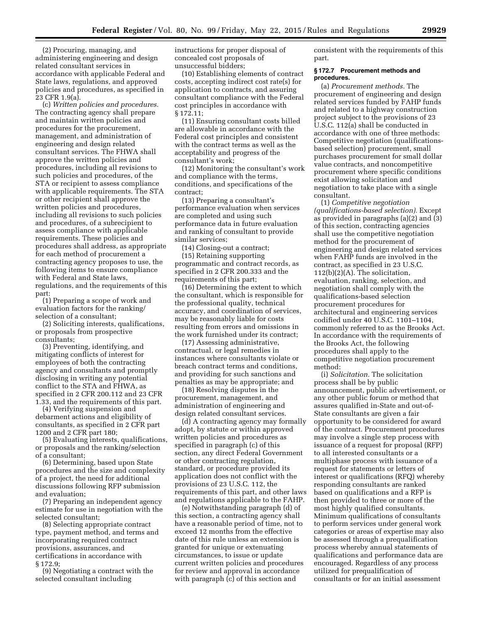(2) Procuring, managing, and administering engineering and design related consultant services in accordance with applicable Federal and State laws, regulations, and approved policies and procedures, as specified in 23 CFR 1.9(a).

(c) *Written policies and procedures.*  The contracting agency shall prepare and maintain written policies and procedures for the procurement, management, and administration of engineering and design related consultant services. The FHWA shall approve the written policies and procedures, including all revisions to such policies and procedures, of the STA or recipient to assess compliance with applicable requirements. The STA or other recipient shall approve the written policies and procedures, including all revisions to such policies and procedures, of a subrecipient to assess compliance with applicable requirements. These policies and procedures shall address, as appropriate for each method of procurement a contracting agency proposes to use, the following items to ensure compliance with Federal and State laws, regulations, and the requirements of this part:

(1) Preparing a scope of work and evaluation factors for the ranking/ selection of a consultant;

(2) Soliciting interests, qualifications, or proposals from prospective consultants;

(3) Preventing, identifying, and mitigating conflicts of interest for employees of both the contracting agency and consultants and promptly disclosing in writing any potential conflict to the STA and FHWA, as specified in 2 CFR 200.112 and 23 CFR 1.33, and the requirements of this part.

(4) Verifying suspension and debarment actions and eligibility of consultants, as specified in 2 CFR part 1200 and 2 CFR part 180;

(5) Evaluating interests, qualifications, or proposals and the ranking/selection of a consultant;

(6) Determining, based upon State procedures and the size and complexity of a project, the need for additional discussions following RFP submission and evaluation;

(7) Preparing an independent agency estimate for use in negotiation with the selected consultant;

(8) Selecting appropriate contract type, payment method, and terms and incorporating required contract provisions, assurances, and certifications in accordance with § 172.9;

(9) Negotiating a contract with the selected consultant including

instructions for proper disposal of concealed cost proposals of unsuccessful bidders;

(10) Establishing elements of contract costs, accepting indirect cost rate(s) for application to contracts, and assuring consultant compliance with the Federal cost principles in accordance with § 172.11;

(11) Ensuring consultant costs billed are allowable in accordance with the Federal cost principles and consistent with the contract terms as well as the acceptability and progress of the consultant's work;

(12) Monitoring the consultant's work and compliance with the terms, conditions, and specifications of the contract;

(13) Preparing a consultant's performance evaluation when services are completed and using such performance data in future evaluation and ranking of consultant to provide similar services;

(14) Closing-out a contract; (15) Retaining supporting programmatic and contract records, as specified in 2 CFR 200.333 and the requirements of this part;

(16) Determining the extent to which the consultant, which is responsible for the professional quality, technical accuracy, and coordination of services, may be reasonably liable for costs resulting from errors and omissions in the work furnished under its contract;

(17) Assessing administrative, contractual, or legal remedies in instances where consultants violate or breach contract terms and conditions, and providing for such sanctions and penalties as may be appropriate; and

(18) Resolving disputes in the procurement, management, and administration of engineering and design related consultant services.

(d) A contracting agency may formally adopt, by statute or within approved written policies and procedures as specified in paragraph (c) of this section, any direct Federal Government or other contracting regulation, standard, or procedure provided its application does not conflict with the provisions of 23 U.S.C. 112, the requirements of this part, and other laws and regulations applicable to the FAHP.

(e) Notwithstanding paragraph (d) of this section, a contracting agency shall have a reasonable period of time, not to exceed 12 months from the effective date of this rule unless an extension is granted for unique or extenuating circumstances, to issue or update current written policies and procedures for review and approval in accordance with paragraph (c) of this section and

consistent with the requirements of this part.

#### **§ 172.7 Procurement methods and procedures.**

(a) *Procurement methods.* The procurement of engineering and design related services funded by FAHP funds and related to a highway construction project subject to the provisions of 23 U.S.C. 112(a) shall be conducted in accordance with one of three methods: Competitive negotiation (qualificationsbased selection) procurement, small purchases procurement for small dollar value contracts, and noncompetitive procurement where specific conditions exist allowing solicitation and negotiation to take place with a single consultant.

(1) *Competitive negotiation (qualifications-based selection).* Except as provided in paragraphs (a)(2) and (3) of this section, contracting agencies shall use the competitive negotiation method for the procurement of engineering and design related services when FAHP funds are involved in the contract, as specified in 23 U.S.C. 112(b)(2)(A). The solicitation, evaluation, ranking, selection, and negotiation shall comply with the qualifications-based selection procurement procedures for architectural and engineering services codified under 40 U.S.C. 1101–1104, commonly referred to as the Brooks Act. In accordance with the requirements of the Brooks Act, the following procedures shall apply to the competitive negotiation procurement method:

(i) *Solicitation.* The solicitation process shall be by public announcement, public advertisement, or any other public forum or method that assures qualified in-State and out-of-State consultants are given a fair opportunity to be considered for award of the contract. Procurement procedures may involve a single step process with issuance of a request for proposal (RFP) to all interested consultants or a multiphase process with issuance of a request for statements or letters of interest or qualifications (RFQ) whereby responding consultants are ranked based on qualifications and a RFP is then provided to three or more of the most highly qualified consultants. Minimum qualifications of consultants to perform services under general work categories or areas of expertise may also be assessed through a prequalification process whereby annual statements of qualifications and performance data are encouraged. Regardless of any process utilized for prequalification of consultants or for an initial assessment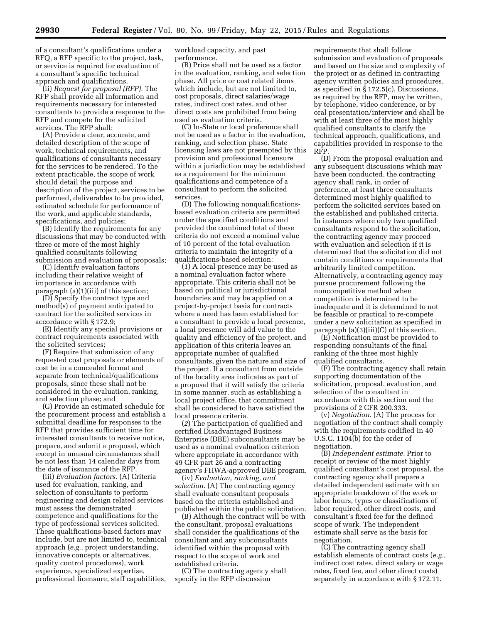of a consultant's qualifications under a RFQ, a RFP specific to the project, task, or service is required for evaluation of a consultant's specific technical approach and qualifications.

(ii) *Request for proposal (RFP).* The RFP shall provide all information and requirements necessary for interested consultants to provide a response to the RFP and compete for the solicited services. The RFP shall:

(A) Provide a clear, accurate, and detailed description of the scope of work, technical requirements, and qualifications of consultants necessary for the services to be rendered. To the extent practicable, the scope of work should detail the purpose and description of the project, services to be performed, deliverables to be provided, estimated schedule for performance of the work, and applicable standards, specifications, and policies;

(B) Identify the requirements for any discussions that may be conducted with three or more of the most highly qualified consultants following submission and evaluation of proposals;

(C) Identify evaluation factors including their relative weight of importance in accordance with paragraph (a)(1)(iii) of this section;

(D) Specify the contract type and method(s) of payment anticipated to contract for the solicited services in accordance with § 172.9;

(E) Identify any special provisions or contract requirements associated with the solicited services;

(F) Require that submission of any requested cost proposals or elements of cost be in a concealed format and separate from technical/qualifications proposals, since these shall not be considered in the evaluation, ranking, and selection phase; and

(G) Provide an estimated schedule for the procurement process and establish a submittal deadline for responses to the RFP that provides sufficient time for interested consultants to receive notice, prepare, and submit a proposal, which except in unusual circumstances shall be not less than 14 calendar days from the date of issuance of the RFP.

(iii) *Evaluation factors.* (A) Criteria used for evaluation, ranking, and selection of consultants to perform engineering and design related services must assess the demonstrated competence and qualifications for the type of professional services solicited. These qualifications-based factors may include, but are not limited to, technical approach (*e.g.,* project understanding, innovative concepts or alternatives, quality control procedures), work experience, specialized expertise, professional licensure, staff capabilities,

workload capacity, and past performance.

(B) Price shall not be used as a factor in the evaluation, ranking, and selection phase. All price or cost related items which include, but are not limited to, cost proposals, direct salaries/wage rates, indirect cost rates, and other direct costs are prohibited from being used as evaluation criteria.

(C) In-State or local preference shall not be used as a factor in the evaluation, ranking, and selection phase. State licensing laws are not preempted by this provision and professional licensure within a jurisdiction may be established as a requirement for the minimum qualifications and competence of a consultant to perform the solicited services.

(D) The following nonqualificationsbased evaluation criteria are permitted under the specified conditions and provided the combined total of these criteria do not exceed a nominal value of 10 percent of the total evaluation criteria to maintain the integrity of a qualifications-based selection:

(*1*) A local presence may be used as a nominal evaluation factor where appropriate. This criteria shall not be based on political or jurisdictional boundaries and may be applied on a project-by-project basis for contracts where a need has been established for a consultant to provide a local presence, a local presence will add value to the quality and efficiency of the project, and application of this criteria leaves an appropriate number of qualified consultants, given the nature and size of the project. If a consultant from outside of the locality area indicates as part of a proposal that it will satisfy the criteria in some manner, such as establishing a local project office, that commitment shall be considered to have satisfied the local presence criteria.

(*2*) The participation of qualified and certified Disadvantaged Business Enterprise (DBE) subconsultants may be used as a nominal evaluation criterion where appropriate in accordance with 49 CFR part 26 and a contracting agency's FHWA-approved DBE program.

(iv) *Evaluation, ranking, and selection.* (A) The contracting agency shall evaluate consultant proposals based on the criteria established and published within the public solicitation.

(B) Although the contract will be with the consultant, proposal evaluations shall consider the qualifications of the consultant and any subconsultants identified within the proposal with respect to the scope of work and established criteria.

(C) The contracting agency shall specify in the RFP discussion

requirements that shall follow submission and evaluation of proposals and based on the size and complexity of the project or as defined in contracting agency written policies and procedures, as specified in § 172.5(c). Discussions, as required by the RFP, may be written, by telephone, video conference, or by oral presentation/interview and shall be with at least three of the most highly qualified consultants to clarify the technical approach, qualifications, and capabilities provided in response to the RFP.

(D) From the proposal evaluation and any subsequent discussions which may have been conducted, the contracting agency shall rank, in order of preference, at least three consultants determined most highly qualified to perform the solicited services based on the established and published criteria. In instances where only two qualified consultants respond to the solicitation, the contracting agency may proceed with evaluation and selection if it is determined that the solicitation did not contain conditions or requirements that arbitrarily limited competition. Alternatively, a contracting agency may pursue procurement following the noncompetitive method when competition is determined to be inadequate and it is determined to not be feasible or practical to re-compete under a new solicitation as specified in paragraph (a)(3)(iii)(C) of this section.

(E) Notification must be provided to responding consultants of the final ranking of the three most highly qualified consultants.

(F) The contracting agency shall retain supporting documentation of the solicitation, proposal, evaluation, and selection of the consultant in accordance with this section and the provisions of 2 CFR 200.333.

(v) *Negotiation.* (A) The process for negotiation of the contract shall comply with the requirements codified in 40 U.S.C. 1104(b) for the order of negotiation.

(B) *Independent estimate.* Prior to receipt or review of the most highly qualified consultant's cost proposal, the contracting agency shall prepare a detailed independent estimate with an appropriate breakdown of the work or labor hours, types or classifications of labor required, other direct costs, and consultant's fixed fee for the defined scope of work. The independent estimate shall serve as the basis for negotiation.

(C) The contracting agency shall establish elements of contract costs (*e.g.,*  indirect cost rates, direct salary or wage rates, fixed fee, and other direct costs) separately in accordance with § 172.11.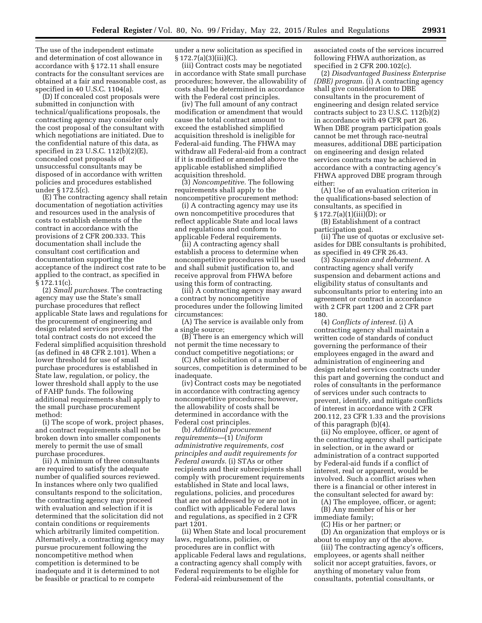The use of the independent estimate and determination of cost allowance in accordance with § 172.11 shall ensure contracts for the consultant services are obtained at a fair and reasonable cost, as specified in 40 U.S.C. 1104(a).

(D) If concealed cost proposals were submitted in conjunction with technical/qualifications proposals, the contracting agency may consider only the cost proposal of the consultant with which negotiations are initiated. Due to the confidential nature of this data, as specified in 23 U.S.C. 112(b)(2)(E), concealed cost proposals of unsuccessful consultants may be disposed of in accordance with written policies and procedures established under § 172.5(c).

(E) The contracting agency shall retain documentation of negotiation activities and resources used in the analysis of costs to establish elements of the contract in accordance with the provisions of 2 CFR 200.333. This documentation shall include the consultant cost certification and documentation supporting the acceptance of the indirect cost rate to be applied to the contract, as specified in § 172.11(c).

(2) *Small purchases.* The contracting agency may use the State's small purchase procedures that reflect applicable State laws and regulations for the procurement of engineering and design related services provided the total contract costs do not exceed the Federal simplified acquisition threshold (as defined in 48 CFR 2.101). When a lower threshold for use of small purchase procedures is established in State law, regulation, or policy, the lower threshold shall apply to the use of FAHP funds. The following additional requirements shall apply to the small purchase procurement method:

(i) The scope of work, project phases, and contract requirements shall not be broken down into smaller components merely to permit the use of small purchase procedures.

(ii) A minimum of three consultants are required to satisfy the adequate number of qualified sources reviewed. In instances where only two qualified consultants respond to the solicitation, the contracting agency may proceed with evaluation and selection if it is determined that the solicitation did not contain conditions or requirements which arbitrarily limited competition. Alternatively, a contracting agency may pursue procurement following the noncompetitive method when competition is determined to be inadequate and it is determined to not be feasible or practical to re compete

under a new solicitation as specified in  $§ 172.7(a)(3)(iii)(C).$ 

(iii) Contract costs may be negotiated in accordance with State small purchase procedures; however, the allowability of costs shall be determined in accordance with the Federal cost principles.

(iv) The full amount of any contract modification or amendment that would cause the total contract amount to exceed the established simplified acquisition threshold is ineligible for Federal-aid funding. The FHWA may withdraw all Federal-aid from a contract if it is modified or amended above the applicable established simplified acquisition threshold.

(3) *Noncompetitive.* The following requirements shall apply to the noncompetitive procurement method:

(i) A contracting agency may use its own noncompetitive procedures that reflect applicable State and local laws and regulations and conform to applicable Federal requirements.

(ii) A contracting agency shall establish a process to determine when noncompetitive procedures will be used and shall submit justification to, and receive approval from FHWA before using this form of contracting.

(iii) A contracting agency may award a contract by noncompetitive procedures under the following limited circumstances:

(A) The service is available only from a single source;

(B) There is an emergency which will not permit the time necessary to conduct competitive negotiations; or

(C) After solicitation of a number of sources, competition is determined to be inadequate.

(iv) Contract costs may be negotiated in accordance with contracting agency noncompetitive procedures; however, the allowability of costs shall be determined in accordance with the Federal cost principles.

(b) *Additional procurement requirements*—(1) *Uniform administrative requirements, cost principles and audit requirements for Federal awards.* (i) STAs or other recipients and their subrecipients shall comply with procurement requirements established in State and local laws, regulations, policies, and procedures that are not addressed by or are not in conflict with applicable Federal laws and regulations, as specified in 2 CFR part 1201.

(ii) When State and local procurement laws, regulations, policies, or procedures are in conflict with applicable Federal laws and regulations, a contracting agency shall comply with Federal requirements to be eligible for Federal-aid reimbursement of the

associated costs of the services incurred following FHWA authorization, as specified in 2 CFR 200.102(c).

(2) *Disadvantaged Business Enterprise (DBE) program.* (i) A contracting agency shall give consideration to DBE consultants in the procurement of engineering and design related service contracts subject to 23 U.S.C. 112(b)(2) in accordance with 49 CFR part 26. When DBE program participation goals cannot be met through race-neutral measures, additional DBE participation on engineering and design related services contracts may be achieved in accordance with a contracting agency's FHWA approved DBE program through either:

(A) Use of an evaluation criterion in the qualifications-based selection of consultants, as specified in  $§ 172.7(a)(1)(iii)(D);$  or

(B) Establishment of a contract participation goal.

(ii) The use of quotas or exclusive setasides for DBE consultants is prohibited, as specified in 49 CFR 26.43.

(3) *Suspension and debarment.* A contracting agency shall verify suspension and debarment actions and eligibility status of consultants and subconsultants prior to entering into an agreement or contract in accordance with 2 CFR part 1200 and 2 CFR part 180.

(4) *Conflicts of interest.* (i) A contracting agency shall maintain a written code of standards of conduct governing the performance of their employees engaged in the award and administration of engineering and design related services contracts under this part and governing the conduct and roles of consultants in the performance of services under such contracts to prevent, identify, and mitigate conflicts of interest in accordance with 2 CFR 200.112, 23 CFR 1.33 and the provisions of this paragraph (b)(4).

(ii) No employee, officer, or agent of the contracting agency shall participate in selection, or in the award or administration of a contract supported by Federal-aid funds if a conflict of interest, real or apparent, would be involved. Such a conflict arises when there is a financial or other interest in the consultant selected for award by:

(A) The employee, officer, or agent; (B) Any member of his or her immediate family;

(C) His or her partner; or

(D) An organization that employs or is about to employ any of the above.

(iii) The contracting agency's officers, employees, or agents shall neither solicit nor accept gratuities, favors, or anything of monetary value from consultants, potential consultants, or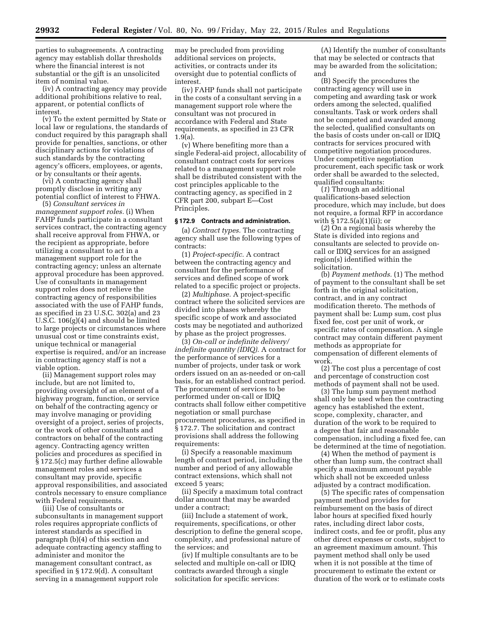parties to subagreements. A contracting agency may establish dollar thresholds where the financial interest is not substantial or the gift is an unsolicited item of nominal value.

(iv) A contracting agency may provide additional prohibitions relative to real, apparent, or potential conflicts of interest.

(v) To the extent permitted by State or local law or regulations, the standards of conduct required by this paragraph shall provide for penalties, sanctions, or other disciplinary actions for violations of such standards by the contracting agency's officers, employees, or agents, or by consultants or their agents.

(vi) A contracting agency shall promptly disclose in writing any potential conflict of interest to FHWA.

(5) *Consultant services in management support roles.* (i) When FAHP funds participate in a consultant services contract, the contracting agency shall receive approval from FHWA, or the recipient as appropriate, before utilizing a consultant to act in a management support role for the contracting agency; unless an alternate approval procedure has been approved. Use of consultants in management support roles does not relieve the contracting agency of responsibilities associated with the use of FAHP funds, as specified in 23 U.S.C. 302(a) and 23 U.S.C. 106(g)(4) and should be limited to large projects or circumstances where unusual cost or time constraints exist, unique technical or managerial expertise is required, and/or an increase in contracting agency staff is not a viable option.

(ii) Management support roles may include, but are not limited to, providing oversight of an element of a highway program, function, or service on behalf of the contracting agency or may involve managing or providing oversight of a project, series of projects, or the work of other consultants and contractors on behalf of the contracting agency. Contracting agency written policies and procedures as specified in § 172.5(c) may further define allowable management roles and services a consultant may provide, specific approval responsibilities, and associated controls necessary to ensure compliance with Federal requirements.

(iii) Use of consultants or subconsultants in management support roles requires appropriate conflicts of interest standards as specified in paragraph (b)(4) of this section and adequate contracting agency staffing to administer and monitor the management consultant contract, as specified in § 172.9(d). A consultant serving in a management support role

may be precluded from providing additional services on projects, activities, or contracts under its oversight due to potential conflicts of interest.

(iv) FAHP funds shall not participate in the costs of a consultant serving in a management support role where the consultant was not procured in accordance with Federal and State requirements, as specified in 23 CFR 1.9(a).

(v) Where benefiting more than a single Federal-aid project, allocability of consultant contract costs for services related to a management support role shall be distributed consistent with the cost principles applicable to the contracting agency, as specified in 2 CFR part 200, subpart E—Cost Principles.

#### **§ 172.9 Contracts and administration.**

(a) *Contract types.* The contracting agency shall use the following types of contracts:

(1) *Project-specific.* A contract between the contracting agency and consultant for the performance of services and defined scope of work related to a specific project or projects.

(2) *Multiphase.* A project-specific contract where the solicited services are divided into phases whereby the specific scope of work and associated costs may be negotiated and authorized by phase as the project progresses.

(3) *On-call or indefinite delivery/ indefinite quantity (IDIQ).* A contract for the performance of services for a number of projects, under task or work orders issued on an as-needed or on-call basis, for an established contract period. The procurement of services to be performed under on-call or IDIQ contracts shall follow either competitive negotiation or small purchase procurement procedures, as specified in § 172.7. The solicitation and contract provisions shall address the following requirements:

(i) Specify a reasonable maximum length of contract period, including the number and period of any allowable contract extensions, which shall not exceed 5 years;

(ii) Specify a maximum total contract dollar amount that may be awarded under a contract;

(iii) Include a statement of work, requirements, specifications, or other description to define the general scope, complexity, and professional nature of the services; and

(iv) If multiple consultants are to be selected and multiple on-call or IDIQ contracts awarded through a single solicitation for specific services:

(A) Identify the number of consultants that may be selected or contracts that may be awarded from the solicitation; and

(B) Specify the procedures the contracting agency will use in competing and awarding task or work orders among the selected, qualified consultants. Task or work orders shall not be competed and awarded among the selected, qualified consultants on the basis of costs under on-call or IDIQ contracts for services procured with competitive negotiation procedures. Under competitive negotiation procurement, each specific task or work order shall be awarded to the selected, qualified consultants:

(*1*) Through an additional qualifications-based selection procedure, which may include, but does not require, a formal RFP in accordance with § 172.5(a)(1)(ii); or

(*2*) On a regional basis whereby the State is divided into regions and consultants are selected to provide oncall or IDIQ services for an assigned region(s) identified within the solicitation.

(b) *Payment methods.* (1) The method of payment to the consultant shall be set forth in the original solicitation, contract, and in any contract modification thereto. The methods of payment shall be: Lump sum, cost plus fixed fee, cost per unit of work, or specific rates of compensation. A single contract may contain different payment methods as appropriate for compensation of different elements of work.

(2) The cost plus a percentage of cost and percentage of construction cost methods of payment shall not be used.

(3) The lump sum payment method shall only be used when the contracting agency has established the extent, scope, complexity, character, and duration of the work to be required to a degree that fair and reasonable compensation, including a fixed fee, can be determined at the time of negotiation.

(4) When the method of payment is other than lump sum, the contract shall specify a maximum amount payable which shall not be exceeded unless adjusted by a contract modification.

(5) The specific rates of compensation payment method provides for reimbursement on the basis of direct labor hours at specified fixed hourly rates, including direct labor costs, indirect costs, and fee or profit, plus any other direct expenses or costs, subject to an agreement maximum amount. This payment method shall only be used when it is not possible at the time of procurement to estimate the extent or duration of the work or to estimate costs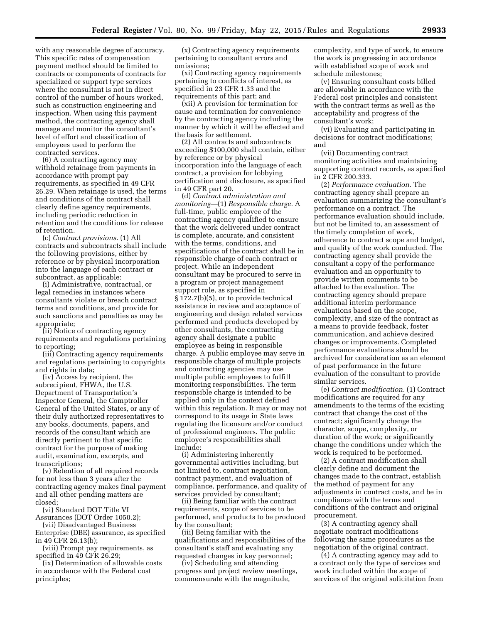with any reasonable degree of accuracy. This specific rates of compensation payment method should be limited to contracts or components of contracts for specialized or support type services where the consultant is not in direct control of the number of hours worked, such as construction engineering and inspection. When using this payment method, the contracting agency shall manage and monitor the consultant's level of effort and classification of employees used to perform the contracted services.

(6) A contracting agency may withhold retainage from payments in accordance with prompt pay requirements, as specified in 49 CFR 26.29. When retainage is used, the terms and conditions of the contract shall clearly define agency requirements, including periodic reduction in retention and the conditions for release of retention.

(c) *Contract provisions.* (1) All contracts and subcontracts shall include the following provisions, either by reference or by physical incorporation into the language of each contract or subcontract, as applicable:

(i) Administrative, contractual, or legal remedies in instances where consultants violate or breach contract terms and conditions, and provide for such sanctions and penalties as may be appropriate;

(ii) Notice of contracting agency requirements and regulations pertaining to reporting;

(iii) Contracting agency requirements and regulations pertaining to copyrights and rights in data;

(iv) Access by recipient, the subrecipient, FHWA, the U.S. Department of Transportation's Inspector General, the Comptroller General of the United States, or any of their duly authorized representatives to any books, documents, papers, and records of the consultant which are directly pertinent to that specific contract for the purpose of making audit, examination, excerpts, and transcriptions;

(v) Retention of all required records for not less than 3 years after the contracting agency makes final payment and all other pending matters are closed;

(vi) Standard DOT Title VI Assurances (DOT Order 1050.2);

(vii) Disadvantaged Business Enterprise (DBE) assurance, as specified in 49 CFR 26.13(b);

(viii) Prompt pay requirements, as specified in 49 CFR 26.29;

(ix) Determination of allowable costs in accordance with the Federal cost principles;

(x) Contracting agency requirements pertaining to consultant errors and omissions;

(xi) Contracting agency requirements pertaining to conflicts of interest, as specified in 23 CFR 1.33 and the requirements of this part; and

(xii) A provision for termination for cause and termination for convenience by the contracting agency including the manner by which it will be effected and the basis for settlement.

(2) All contracts and subcontracts exceeding \$100,000 shall contain, either by reference or by physical incorporation into the language of each contract, a provision for lobbying certification and disclosure, as specified in 49 CFR part 20.

(d) *Contract administration and monitoring*—(1) *Responsible charge.* A full-time, public employee of the contracting agency qualified to ensure that the work delivered under contract is complete, accurate, and consistent with the terms, conditions, and specifications of the contract shall be in responsible charge of each contract or project. While an independent consultant may be procured to serve in a program or project management support role, as specified in § 172.7(b)(5), or to provide technical assistance in review and acceptance of engineering and design related services performed and products developed by other consultants, the contracting agency shall designate a public employee as being in responsible charge. A public employee may serve in responsible charge of multiple projects and contracting agencies may use multiple public employees to fulfill monitoring responsibilities. The term responsible charge is intended to be applied only in the context defined within this regulation. It may or may not correspond to its usage in State laws regulating the licensure and/or conduct of professional engineers. The public employee's responsibilities shall include:

(i) Administering inherently governmental activities including, but not limited to, contract negotiation, contract payment, and evaluation of compliance, performance, and quality of services provided by consultant;

(ii) Being familiar with the contract requirements, scope of services to be performed, and products to be produced by the consultant;

(iii) Being familiar with the qualifications and responsibilities of the consultant's staff and evaluating any requested changes in key personnel;

(iv) Scheduling and attending progress and project review meetings, commensurate with the magnitude,

complexity, and type of work, to ensure the work is progressing in accordance with established scope of work and schedule milestones;

(v) Ensuring consultant costs billed are allowable in accordance with the Federal cost principles and consistent with the contract terms as well as the acceptability and progress of the consultant's work;

(vi) Evaluating and participating in decisions for contract modifications; and

(vii) Documenting contract monitoring activities and maintaining supporting contract records, as specified in 2 CFR 200.333.

(2) *Performance evaluation.* The contracting agency shall prepare an evaluation summarizing the consultant's performance on a contract. The performance evaluation should include, but not be limited to, an assessment of the timely completion of work, adherence to contract scope and budget, and quality of the work conducted. The contracting agency shall provide the consultant a copy of the performance evaluation and an opportunity to provide written comments to be attached to the evaluation. The contracting agency should prepare additional interim performance evaluations based on the scope, complexity, and size of the contract as a means to provide feedback, foster communication, and achieve desired changes or improvements. Completed performance evaluations should be archived for consideration as an element of past performance in the future evaluation of the consultant to provide similar services.

(e) *Contract modification.* (1) Contract modifications are required for any amendments to the terms of the existing contract that change the cost of the contract; significantly change the character, scope, complexity, or duration of the work; or significantly change the conditions under which the work is required to be performed.

(2) A contract modification shall clearly define and document the changes made to the contract, establish the method of payment for any adjustments in contract costs, and be in compliance with the terms and conditions of the contract and original procurement.

(3) A contracting agency shall negotiate contract modifications following the same procedures as the negotiation of the original contract.

(4) A contracting agency may add to a contract only the type of services and work included within the scope of services of the original solicitation from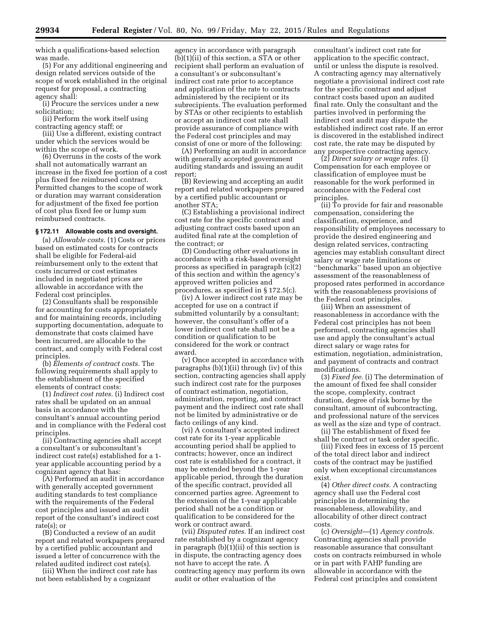which a qualifications-based selection was made.

(5) For any additional engineering and design related services outside of the scope of work established in the original request for proposal, a contracting agency shall:

(i) Procure the services under a new solicitation;

(ii) Perform the work itself using contracting agency staff; or

(iii) Use a different, existing contract under which the services would be within the scope of work.

(6) Overruns in the costs of the work shall not automatically warrant an increase in the fixed fee portion of a cost plus fixed fee reimbursed contract. Permitted changes to the scope of work or duration may warrant consideration for adjustment of the fixed fee portion of cost plus fixed fee or lump sum reimbursed contracts.

#### **§ 172.11 Allowable costs and oversight.**

(a) *Allowable costs.* (1) Costs or prices based on estimated costs for contracts shall be eligible for Federal-aid reimbursement only to the extent that costs incurred or cost estimates included in negotiated prices are allowable in accordance with the Federal cost principles.

(2) Consultants shall be responsible for accounting for costs appropriately and for maintaining records, including supporting documentation, adequate to demonstrate that costs claimed have been incurred, are allocable to the contract, and comply with Federal cost principles.

(b) *Elements of contract costs.* The following requirements shall apply to the establishment of the specified elements of contract costs:

(1) *Indirect cost rates.* (i) Indirect cost rates shall be updated on an annual basis in accordance with the consultant's annual accounting period and in compliance with the Federal cost principles.

(ii) Contracting agencies shall accept a consultant's or subconsultant's indirect cost rate(s) established for a 1 year applicable accounting period by a cognizant agency that has:

(A) Performed an audit in accordance with generally accepted government auditing standards to test compliance with the requirements of the Federal cost principles and issued an audit report of the consultant's indirect cost rate(s); or

(B) Conducted a review of an audit report and related workpapers prepared by a certified public accountant and issued a letter of concurrence with the related audited indirect cost rate(s).

(iii) When the indirect cost rate has not been established by a cognizant

agency in accordance with paragraph (b)(1)(ii) of this section, a STA or other recipient shall perform an evaluation of a consultant's or subconsultant's indirect cost rate prior to acceptance and application of the rate to contracts administered by the recipient or its subrecipients. The evaluation performed by STAs or other recipients to establish or accept an indirect cost rate shall provide assurance of compliance with the Federal cost principles and may consist of one or more of the following:

(A) Performing an audit in accordance with generally accepted government auditing standards and issuing an audit report;

(B) Reviewing and accepting an audit report and related workpapers prepared by a certified public accountant or another STA;

(C) Establishing a provisional indirect cost rate for the specific contract and adjusting contract costs based upon an audited final rate at the completion of the contract; or

(D) Conducting other evaluations in accordance with a risk-based oversight process as specified in paragraph (c)(2) of this section and within the agency's approved written policies and procedures, as specified in § 172.5(c).

(iv) A lower indirect cost rate may be accepted for use on a contract if submitted voluntarily by a consultant; however, the consultant's offer of a lower indirect cost rate shall not be a condition or qualification to be considered for the work or contract award.

(v) Once accepted in accordance with paragraphs (b)(1)(ii) through (iv) of this section, contracting agencies shall apply such indirect cost rate for the purposes of contract estimation, negotiation, administration, reporting, and contract payment and the indirect cost rate shall not be limited by administrative or de facto ceilings of any kind.

(vi) A consultant's accepted indirect cost rate for its 1-year applicable accounting period shall be applied to contracts; however, once an indirect cost rate is established for a contract, it may be extended beyond the 1-year applicable period, through the duration of the specific contract, provided all concerned parties agree. Agreement to the extension of the 1-year applicable period shall not be a condition or qualification to be considered for the work or contract award.

(vii) *Disputed rates.* If an indirect cost rate established by a cognizant agency in paragraph (b)(1)(ii) of this section is in dispute, the contracting agency does not have to accept the rate. A contracting agency may perform its own audit or other evaluation of the

consultant's indirect cost rate for application to the specific contract, until or unless the dispute is resolved. A contracting agency may alternatively negotiate a provisional indirect cost rate for the specific contract and adjust contract costs based upon an audited final rate. Only the consultant and the parties involved in performing the indirect cost audit may dispute the established indirect cost rate. If an error is discovered in the established indirect cost rate, the rate may be disputed by any prospective contracting agency.

(2) *Direct salary or wage rates.* (i) Compensation for each employee or classification of employee must be reasonable for the work performed in accordance with the Federal cost principles.

(ii) To provide for fair and reasonable compensation, considering the classification, experience, and responsibility of employees necessary to provide the desired engineering and design related services, contracting agencies may establish consultant direct salary or wage rate limitations or ''benchmarks'' based upon an objective assessment of the reasonableness of proposed rates performed in accordance with the reasonableness provisions of the Federal cost principles.

(iii) When an assessment of reasonableness in accordance with the Federal cost principles has not been performed, contracting agencies shall use and apply the consultant's actual direct salary or wage rates for estimation, negotiation, administration, and payment of contracts and contract modifications.

(3) *Fixed fee.* (i) The determination of the amount of fixed fee shall consider the scope, complexity, contract duration, degree of risk borne by the consultant, amount of subcontracting, and professional nature of the services as well as the size and type of contract.

(ii) The establishment of fixed fee shall be contract or task order specific.

(iii) Fixed fees in excess of 15 percent of the total direct labor and indirect costs of the contract may be justified only when exceptional circumstances exist.

(4) *Other direct costs.* A contracting agency shall use the Federal cost principles in determining the reasonableness, allowability, and allocability of other direct contract costs.

(c) *Oversight*—(1) *Agency controls.*  Contracting agencies shall provide reasonable assurance that consultant costs on contracts reimbursed in whole or in part with FAHP funding are allowable in accordance with the Federal cost principles and consistent